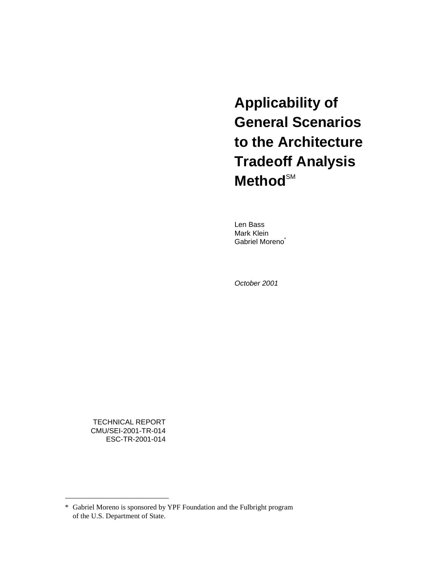**Applicability of General Scenarios to the Architecture Tradeoff Analysis Method**<sup>SM</sup>

Len Bass Mark Klein Gabriel Moreno<sup>\*</sup>

*October 2001* 

TECHNICAL REPORT CMU/SEI-2001-TR-014 ESC-TR-2001-014

l

<sup>\*</sup> Gabriel Moreno is sponsored by YPF Foundation and the Fulbright program of the U.S. Department of State.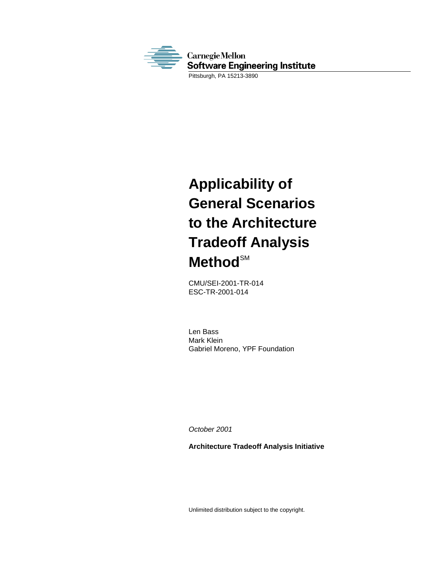

Pittsburgh, PA 15213-3890

# **Applicability of General Scenarios to the Architecture Tradeoff Analysis Method**<sup>SM</sup>

CMU/SEI-2001-TR-014 ESC-TR-2001-014

Len Bass Mark Klein Gabriel Moreno, YPF Foundation

*October 2001* 

**Architecture Tradeoff Analysis Initiative** 

Unlimited distribution subject to the copyright.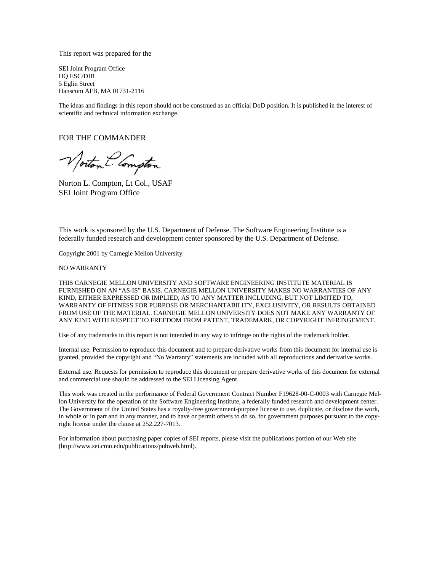This report was prepared for the

SEI Joint Program Office HQ ESC/DIB 5 Eglin Street Hanscom AFB, MA 01731-2116

The ideas and findings in this report should not be construed as an official DoD position. It is published in the interest of scientific and technical information exchange.

#### FOR THE COMMANDER

Norton & Compton

Norton L. Compton, Lt Col., USAF SEI Joint Program Office

This work is sponsored by the U.S. Department of Defense. The Software Engineering Institute is a federally funded research and development center sponsored by the U.S. Department of Defense.

Copyright 2001 by Carnegie Mellon University.

#### NO WARRANTY

THIS CARNEGIE MELLON UNIVERSITY AND SOFTWARE ENGINEERING INSTITUTE MATERIAL IS FURNISHED ON AN "AS-IS" BASIS. CARNEGIE MELLON UNIVERSITY MAKES NO WARRANTIES OF ANY KIND, EITHER EXPRESSED OR IMPLIED, AS TO ANY MATTER INCLUDING, BUT NOT LIMITED TO, WARRANTY OF FITNESS FOR PURPOSE OR MERCHANTABILITY, EXCLUSIVITY, OR RESULTS OBTAINED FROM USE OF THE MATERIAL. CARNEGIE MELLON UNIVERSITY DOES NOT MAKE ANY WARRANTY OF ANY KIND WITH RESPECT TO FREEDOM FROM PATENT, TRADEMARK, OR COPYRIGHT INFRINGEMENT.

Use of any trademarks in this report is not intended in any way to infringe on the rights of the trademark holder.

Internal use. Permission to reproduce this document and to prepare derivative works from this document for internal use is granted, provided the copyright and "No Warranty" statements are included with all reproductions and derivative works.

External use. Requests for permission to reproduce this document or prepare derivative works of this document for external and commercial use should be addressed to the SEI Licensing Agent.

This work was created in the performance of Federal Government Contract Number F19628-00-C-0003 with Carnegie Mellon University for the operation of the Software Engineering Institute, a federally funded research and development center. The Government of the United States has a royalty-free government-purpose license to use, duplicate, or disclose the work, in whole or in part and in any manner, and to have or permit others to do so, for government purposes pursuant to the copyright license under the clause at 252.227-7013.

For information about purchasing paper copies of SEI reports, please visit the publications portion of our Web site (http://www.sei.cmu.edu/publications/pubweb.html).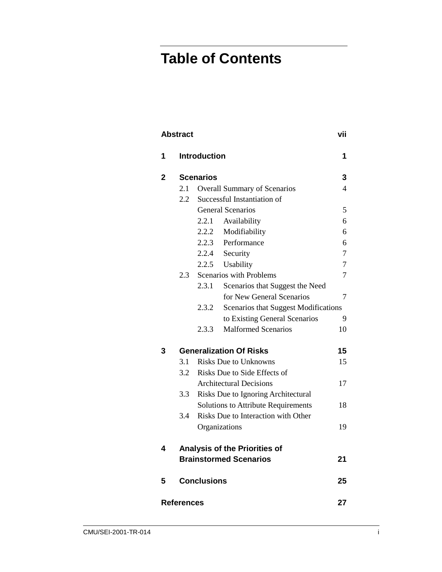# **Table of Contents**

| <b>Abstract</b><br>vii |                   |                     |                                                                       |    |
|------------------------|-------------------|---------------------|-----------------------------------------------------------------------|----|
| 1                      |                   | <b>Introduction</b> |                                                                       | 1  |
| 2                      |                   | <b>Scenarios</b>    |                                                                       | 3  |
|                        | 2.1               |                     | <b>Overall Summary of Scenarios</b>                                   | 4  |
|                        | $2.2^{\circ}$     |                     | Successful Instantiation of                                           |    |
|                        |                   |                     | <b>General Scenarios</b>                                              | 5  |
|                        |                   | 2.2.1               | Availability                                                          | 6  |
|                        |                   | 2.2.2               | Modifiability                                                         | 6  |
|                        |                   | 2.2.3               | Performance                                                           | 6  |
|                        |                   |                     | 2.2.4 Security                                                        | 7  |
|                        |                   | 2.2.5               | Usability                                                             | 7  |
|                        | 2.3               |                     | <b>Scenarios with Problems</b>                                        | 7  |
|                        |                   | 2.3.1               | Scenarios that Suggest the Need                                       |    |
|                        |                   |                     | for New General Scenarios                                             | 7  |
|                        |                   | 2.3.2               | Scenarios that Suggest Modifications                                  |    |
|                        |                   |                     | to Existing General Scenarios                                         | 9  |
|                        |                   | 2.3.3               | <b>Malformed Scenarios</b>                                            | 10 |
| 3                      |                   |                     | <b>Generalization Of Risks</b>                                        | 15 |
|                        | 3.1               |                     | <b>Risks Due to Unknowns</b>                                          | 15 |
|                        | 3.2               |                     | Risks Due to Side Effects of                                          |    |
|                        |                   |                     | <b>Architectural Decisions</b>                                        | 17 |
|                        | 3.3               |                     | Risks Due to Ignoring Architectural                                   |    |
|                        |                   |                     | Solutions to Attribute Requirements                                   | 18 |
|                        | 3.4               |                     | Risks Due to Interaction with Other                                   |    |
|                        |                   |                     | Organizations                                                         | 19 |
| 4                      |                   |                     | <b>Analysis of the Priorities of</b><br><b>Brainstormed Scenarios</b> | 21 |
| 5                      |                   | <b>Conclusions</b>  |                                                                       | 25 |
|                        | <b>References</b> |                     |                                                                       | 27 |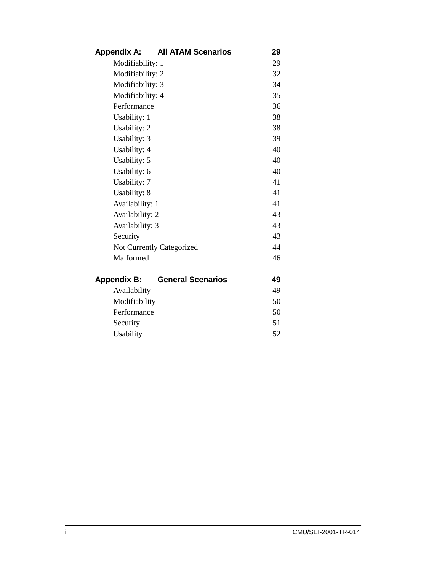| <b>All ATAM Scenarios</b><br>Appendix A:       | 29 |
|------------------------------------------------|----|
| Modifiability: 1                               | 29 |
| Modifiability: 2                               | 32 |
| Modifiability: 3                               | 34 |
| Modifiability: 4                               | 35 |
| Performance                                    | 36 |
| <b>Usability: 1</b>                            | 38 |
| Usability: 2                                   | 38 |
| <b>Usability: 3</b>                            | 39 |
| <b>Usability: 4</b>                            | 40 |
| Usability: 5                                   | 40 |
| Usability: 6                                   | 40 |
| <b>Usability: 7</b>                            | 41 |
| <b>Usability: 8</b>                            | 41 |
| Availability: 1                                | 41 |
| Availability: 2                                | 43 |
| Availability: 3                                | 43 |
| Security                                       | 43 |
| <b>Not Currently Categorized</b>               | 44 |
| Malformed                                      | 46 |
| <b>Appendix B:</b><br><b>General Scenarios</b> | 49 |
| Availability                                   | 49 |
| Modifiability                                  | 50 |
| Performance                                    | 50 |
| Security                                       | 51 |
| Usability                                      | 52 |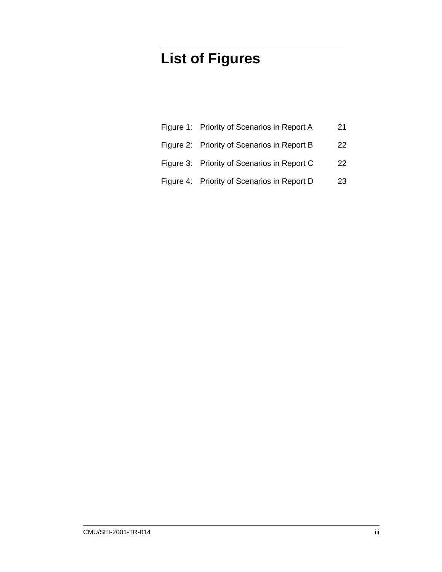# **List of Figures**

| Figure 1: Priority of Scenarios in Report A | 21 |
|---------------------------------------------|----|
| Figure 2: Priority of Scenarios in Report B | 22 |
| Figure 3: Priority of Scenarios in Report C | 22 |

Figure 4: Priority of Scenarios in Report D 23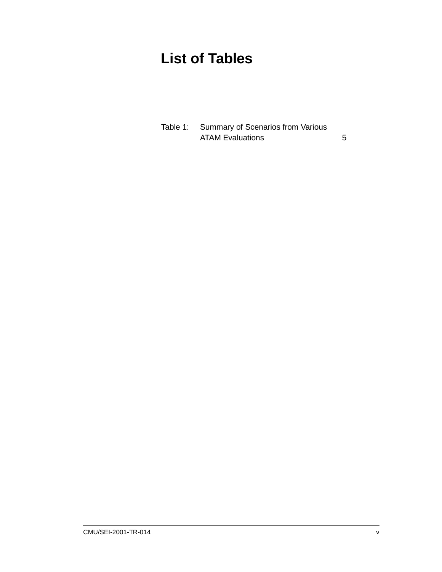# **List of Tables**

Table 1: Summary of Scenarios from Various ATAM Evaluations 5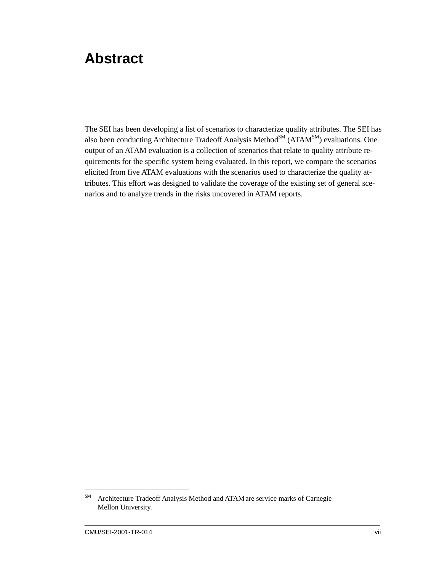# **Abstract**

The SEI has been developing a list of scenarios to characterize quality attributes. The SEI has also been conducting Architecture Tradeoff Analysis Method $^{SM}$  (ATAM $^{SM}$ ) evaluations. One output of an ATAM evaluation is a collection of scenarios that relate to quality attribute requirements for the specific system being evaluated. In this report, we compare the scenarios elicited from five ATAM evaluations with the scenarios used to characterize the quality attributes. This effort was designed to validate the coverage of the existing set of general scenarios and to analyze trends in the risks uncovered in ATAM reports.

 ${\rm SM}$ Architecture Tradeoff Analysis Method and ATAM are service marks of Carnegie Mellon University.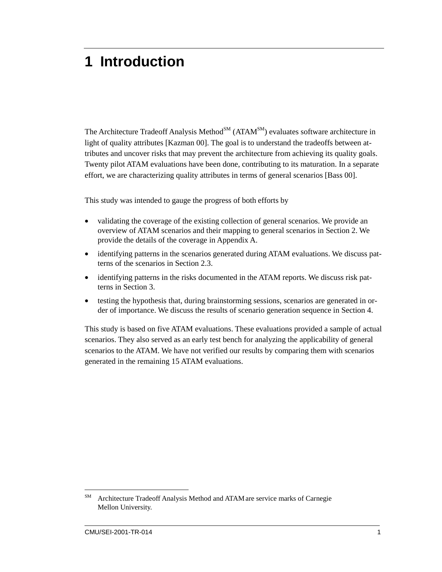# **1 Introduction**

The Architecture Tradeoff Analysis Method<sup>SM</sup> (ATAM<sup>SM</sup>) evaluates software architecture in light of quality attributes [Kazman 00]. The goal is to understand the tradeoffs between attributes and uncover risks that may prevent the architecture from achieving its quality goals. Twenty pilot ATAM evaluations have been done, contributing to its maturation. In a separate effort, we are characterizing quality attributes in terms of general scenarios [Bass 00].

This study was intended to gauge the progress of both efforts by

- validating the coverage of the existing collection of general scenarios. We provide an overview of ATAM scenarios and their mapping to general scenarios in Section 2. We provide the details of the coverage in Appendix A.
- identifying patterns in the scenarios generated during ATAM evaluations. We discuss patterns of the scenarios in Section 2.3.
- identifying patterns in the risks documented in the ATAM reports. We discuss risk patterns in Section 3.
- testing the hypothesis that, during brainstorming sessions, scenarios are generated in order of importance. We discuss the results of scenario generation sequence in Section 4.

This study is based on five ATAM evaluations. These evaluations provided a sample of actual scenarios. They also served as an early test bench for analyzing the applicability of general scenarios to the ATAM. We have not verified our results by comparing them with scenarios generated in the remaining 15 ATAM evaluations.

**SM** Architecture Tradeoff Analysis Method and ATAM are service marks of Carnegie Mellon University.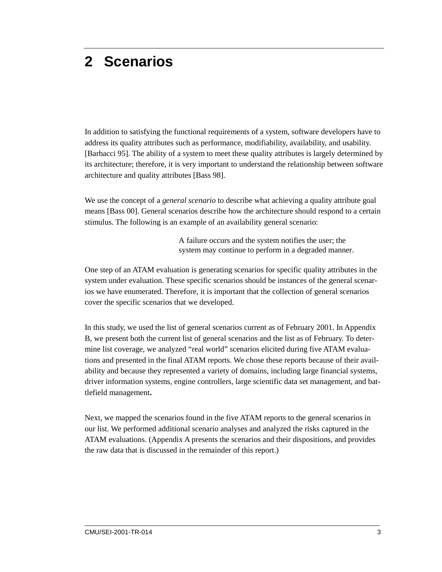# **2 Scenarios**

In addition to satisfying the functional requirements of a system, software developers have to address its quality attributes such as performance, modifiability, availability, and usability. [Barbacci 95]. The ability of a system to meet these quality attributes is largely determined by its architecture; therefore, it is very important to understand the relationship between software architecture and quality attributes [Bass 98].

We use the concept of a *general scenario* to describe what achieving a quality attribute goal means [Bass 00]. General scenarios describe how the architecture should respond to a certain stimulus. The following is an example of an availability general scenario:

> A failure occurs and the system notifies the user; the system may continue to perform in a degraded manner.

One step of an ATAM evaluation is generating scenarios for specific quality attributes in the system under evaluation. These specific scenarios should be instances of the general scenarios we have enumerated. Therefore, it is important that the collection of general scenarios cover the specific scenarios that we developed.

In this study, we used the list of general scenarios current as of February 2001. In Appendix B, we present both the current list of general scenarios and the list as of February. To determine list coverage, we analyzed "real world" scenarios elicited during five ATAM evaluations and presented in the final ATAM reports. We chose these reports because of their availability and because they represented a variety of domains, including large financial systems, driver information systems, engine controllers, large scientific data set management, and battlefield management**.** 

Next, we mapped the scenarios found in the five ATAM reports to the general scenarios in our list. We performed additional scenario analyses and analyzed the risks captured in the ATAM evaluations. (Appendix A presents the scenarios and their dispositions, and provides the raw data that is discussed in the remainder of this report.)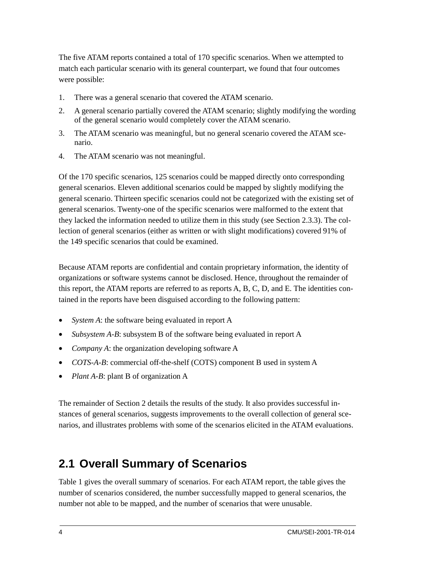The five ATAM reports contained a total of 170 specific scenarios. When we attempted to match each particular scenario with its general counterpart, we found that four outcomes were possible:

- 1. There was a general scenario that covered the ATAM scenario.
- 2. A general scenario partially covered the ATAM scenario; slightly modifying the wording of the general scenario would completely cover the ATAM scenario.
- 3. The ATAM scenario was meaningful, but no general scenario covered the ATAM scenario.
- 4. The ATAM scenario was not meaningful.

Of the 170 specific scenarios, 125 scenarios could be mapped directly onto corresponding general scenarios. Eleven additional scenarios could be mapped by slightly modifying the general scenario. Thirteen specific scenarios could not be categorized with the existing set of general scenarios. Twenty-one of the specific scenarios were malformed to the extent that they lacked the information needed to utilize them in this study (see Section 2.3.3). The collection of general scenarios (either as written or with slight modifications) covered 91% of the 149 specific scenarios that could be examined.

Because ATAM reports are confidential and contain proprietary information, the identity of organizations or software systems cannot be disclosed. Hence, throughout the remainder of this report, the ATAM reports are referred to as reports A, B, C, D, and E. The identities contained in the reports have been disguised according to the following pattern:

- *System A*: the software being evaluated in report A
- *Subsystem A-B*: subsystem B of the software being evaluated in report A
- *Company A*: the organization developing software A
- *COTS-A-B*: commercial off-the-shelf (COTS) component B used in system A
- *Plant A-B*: plant B of organization A

The remainder of Section 2 details the results of the study. It also provides successful instances of general scenarios, suggests improvements to the overall collection of general scenarios, and illustrates problems with some of the scenarios elicited in the ATAM evaluations.

# **2.1 Overall Summary of Scenarios**

Table 1 gives the overall summary of scenarios. For each ATAM report, the table gives the number of scenarios considered, the number successfully mapped to general scenarios, the number not able to be mapped, and the number of scenarios that were unusable.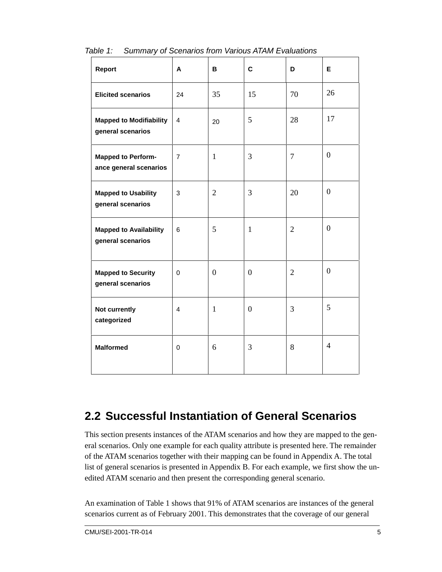| <b>Report</b>                                       | A              | B              | C              | D              | E              |
|-----------------------------------------------------|----------------|----------------|----------------|----------------|----------------|
| <b>Elicited scenarios</b>                           | 24             | 35             | 15             | 70             | 26             |
| <b>Mapped to Modifiability</b><br>general scenarios | $\overline{4}$ | 20             | 5              | 28             | 17             |
| <b>Mapped to Perform-</b><br>ance general scenarios | $\overline{7}$ | $\mathbf{1}$   | 3              | $\overline{7}$ | $\overline{0}$ |
| <b>Mapped to Usability</b><br>general scenarios     | 3              | $\overline{2}$ | 3              | 20             | $\overline{0}$ |
| <b>Mapped to Availability</b><br>general scenarios  | 6              | 5              | 1              | $\overline{2}$ | $\overline{0}$ |
| <b>Mapped to Security</b><br>general scenarios      | 0              | $\overline{0}$ | $\overline{0}$ | $\overline{2}$ | $\overline{0}$ |
| Not currently<br>categorized                        | $\overline{4}$ | $\mathbf{1}$   | $\overline{0}$ | 3              | 5              |
| <b>Malformed</b>                                    | $\mathbf 0$    | 6              | 3              | 8              | $\overline{4}$ |

*Table 1: Summary of Scenarios from Various ATAM Evaluations* 

# **2.2 Successful Instantiation of General Scenarios**

This section presents instances of the ATAM scenarios and how they are mapped to the general scenarios. Only one example for each quality attribute is presented here. The remainder of the ATAM scenarios together with their mapping can be found in Appendix A. The total list of general scenarios is presented in Appendix B. For each example, we first show the unedited ATAM scenario and then present the corresponding general scenario.

An examination of Table 1 shows that 91% of ATAM scenarios are instances of the general scenarios current as of February 2001. This demonstrates that the coverage of our general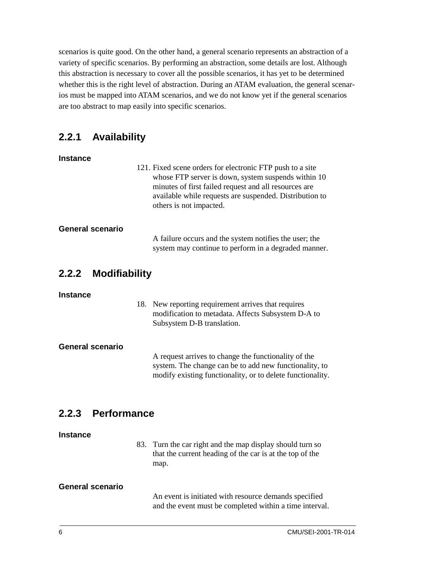scenarios is quite good. On the other hand, a general scenario represents an abstraction of a variety of specific scenarios. By performing an abstraction, some details are lost. Although this abstraction is necessary to cover all the possible scenarios, it has yet to be determined whether this is the right level of abstraction. During an ATAM evaluation, the general scenarios must be mapped into ATAM scenarios, and we do not know yet if the general scenarios are too abstract to map easily into specific scenarios.

#### **2.2.1 Availability**

#### **Instance**

| 121. Fixed scene orders for electronic FTP push to a site |  |
|-----------------------------------------------------------|--|
| whose FTP server is down, system suspends within 10       |  |
| minutes of first failed request and all resources are     |  |
| available while requests are suspended. Distribution to   |  |
| others is not impacted.                                   |  |
|                                                           |  |

#### **General scenario**

 A failure occurs and the system notifies the user; the system may continue to perform in a degraded manner.

#### **2.2.2 Modifiability**

#### **Instance**

| 18. New reporting requirement arrives that requires |
|-----------------------------------------------------|
| modification to metadata. Affects Subsystem D-A to  |
| Subsystem D-B translation.                          |

#### **General scenario**

 A request arrives to change the functionality of the system. The change can be to add new functionality, to modify existing functionality, or to delete functionality.

#### **2.2.3 Performance**

#### **Instance**

83. Turn the car right and the map display should turn so that the current heading of the car is at the top of the map.

#### **General scenario**

 An event is initiated with resource demands specified and the event must be completed within a time interval.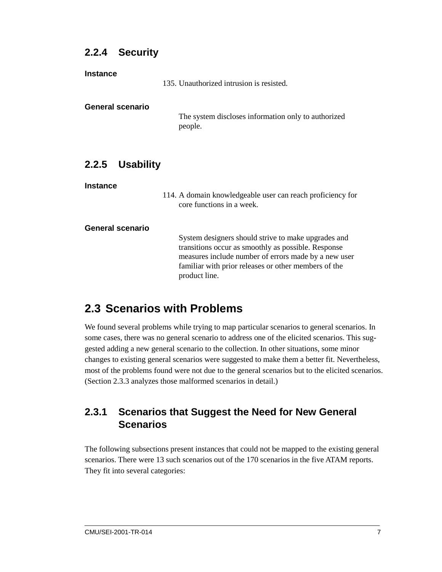#### **2.2.4 Security**

| <b>Instance</b>         | 135. Unauthorized intrusion is resisted.                                                                                                                                                                                                    |
|-------------------------|---------------------------------------------------------------------------------------------------------------------------------------------------------------------------------------------------------------------------------------------|
| General scenario        | The system discloses information only to authorized<br>people.                                                                                                                                                                              |
| 2.2.5 Usability         |                                                                                                                                                                                                                                             |
| <b>Instance</b>         | 114. A domain knowledgeable user can reach proficiency for<br>core functions in a week.                                                                                                                                                     |
| <b>General scenario</b> | System designers should strive to make upgrades and<br>transitions occur as smoothly as possible. Response<br>measures include number of errors made by a new user<br>familiar with prior releases or other members of the<br>product line. |

## **2.3 Scenarios with Problems**

We found several problems while trying to map particular scenarios to general scenarios. In some cases, there was no general scenario to address one of the elicited scenarios. This suggested adding a new general scenario to the collection. In other situations, some minor changes to existing general scenarios were suggested to make them a better fit. Nevertheless, most of the problems found were not due to the general scenarios but to the elicited scenarios. (Section 2.3.3 analyzes those malformed scenarios in detail.)

### **2.3.1 Scenarios that Suggest the Need for New General Scenarios**

The following subsections present instances that could not be mapped to the existing general scenarios. There were 13 such scenarios out of the 170 scenarios in the five ATAM reports. They fit into several categories: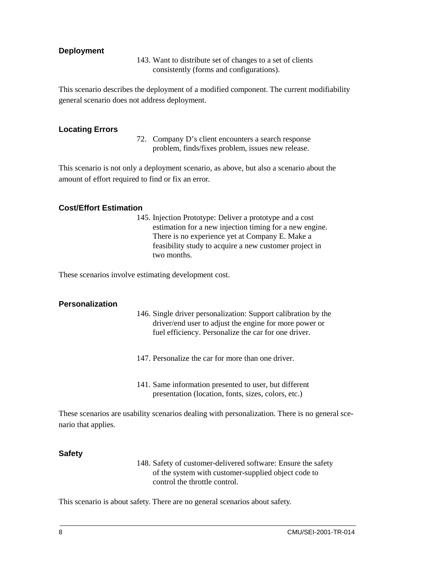#### **Deployment**

143. Want to distribute set of changes to a set of clients consistently (forms and configurations).

This scenario describes the deployment of a modified component. The current modifiability general scenario does not address deployment.

#### **Locating Errors**

72. Company D's client encounters a search response problem, finds/fixes problem, issues new release.

This scenario is not only a deployment scenario, as above, but also a scenario about the amount of effort required to find or fix an error.

#### **Cost/Effort Estimation**

145.Injection Prototype: Deliver a prototype and a cost estimation for a new injection timing for a new engine. There is no experience yet at Company E. Make a feasibility study to acquire a new customer project in two months.

These scenarios involve estimating development cost.

#### **Personalization**

146. Single driver personalization: Support calibration by the driver/end user to adjust the engine for more power or fuel efficiency. Personalize the car for one driver.

147. Personalize the car for more than one driver.

141. Same information presented to user, but different presentation (location, fonts, sizes, colors, etc.)

These scenarios are usability scenarios dealing with personalization. There is no general scenario that applies.

#### **Safety**

148. Safety of customer-delivered software: Ensure the safety of the system with customer-supplied object code to control the throttle control.

This scenario is about safety. There are no general scenarios about safety.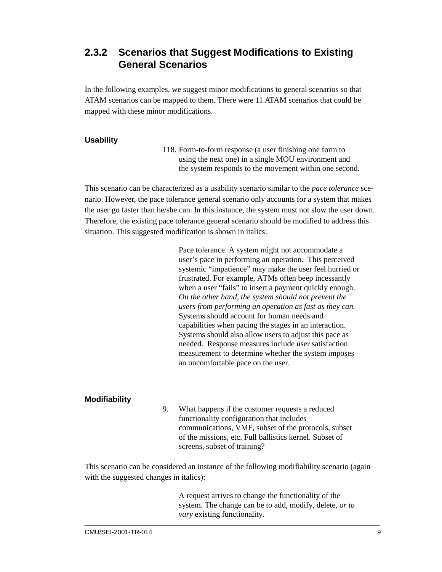#### **2.3.2 Scenarios that Suggest Modifications to Existing General Scenarios**

In the following examples, we suggest minor modifications to general scenarios so that ATAM scenarios can be mapped to them. There were 11 ATAM scenarios that could be mapped with these minor modifications.

#### **Usability**

118. Form-to-form response (a user finishing one form to using the next one) in a single MOU environment and the system responds to the movement within one second.

This scenario can be characterized as a usability scenario similar to the *pace tolerance* scenario. However, the pace tolerance general scenario only accounts for a system that makes the user go faster than he/she can. In this instance, the system must not slow the user down. Therefore, the existing pace tolerance general scenario should be modified to address this situation. This suggested modification is shown in italics:

> Pace tolerance. A system might not accommodate a user's pace in performing an operation. This perceived systemic "impatience" may make the user feel hurried or frustrated. For example, ATMs often beep incessantly when a user "fails" to insert a payment quickly enough. *On the other hand, the system should not prevent the users from performing an operation as fast as they can.*  Systems should account for human needs and capabilities when pacing the stages in an interaction. Systems should also allow users to adjust this pace as needed. Response measures include user satisfaction measurement to determine whether the system imposes an uncomfortable pace on the user.

#### **Modifiability**

9. What happens if the customer requests a reduced functionality configuration that includes communications, VMF, subset of the protocols, subset of the missions, etc. Full ballistics kernel. Subset of screens, subset of training?

This scenario can be considered an instance of the following modifiability scenario (again with the suggested changes in italics):

> A request arrives to change the functionality of the system. The change can be to add, modify, delete, *or to vary* existing functionality.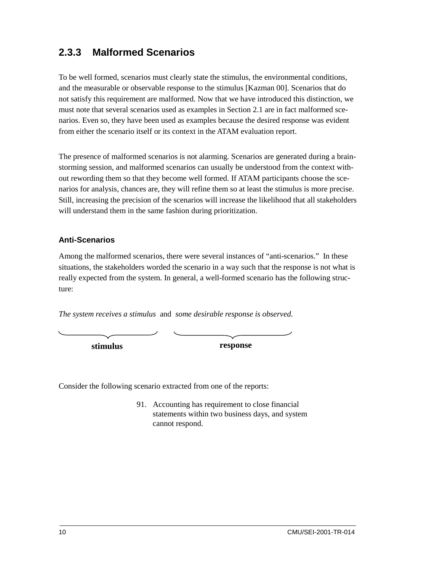#### **2.3.3 Malformed Scenarios**

To be well formed, scenarios must clearly state the stimulus, the environmental conditions, and the measurable or observable response to the stimulus [Kazman 00]. Scenarios that do not satisfy this requirement are malformed. Now that we have introduced this distinction, we must note that several scenarios used as examples in Section 2.1 are in fact malformed scenarios. Even so, they have been used as examples because the desired response was evident from either the scenario itself or its context in the ATAM evaluation report.

The presence of malformed scenarios is not alarming. Scenarios are generated during a brainstorming session, and malformed scenarios can usually be understood from the context without rewording them so that they become well formed. If ATAM participants choose the scenarios for analysis, chances are, they will refine them so at least the stimulus is more precise. Still, increasing the precision of the scenarios will increase the likelihood that all stakeholders will understand them in the same fashion during prioritization.

#### **Anti-Scenarios**

Among the malformed scenarios, there were several instances of "anti-scenarios." In these situations, the stakeholders worded the scenario in a way such that the response is not what is really expected from the system. In general, a well-formed scenario has the following structure:

*The system receives a stimulus* and *some desirable response is observed.* 

**stimulus response**

Consider the following scenario extracted from one of the reports:

91. Accounting has requirement to close financial statements within two business days, and system cannot respond.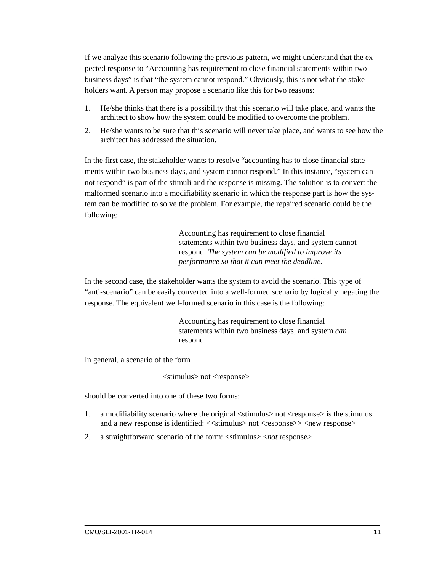If we analyze this scenario following the previous pattern, we might understand that the expected response to "Accounting has requirement to close financial statements within two business days" is that "the system cannot respond." Obviously, this is not what the stakeholders want. A person may propose a scenario like this for two reasons:

- 1. He/she thinks that there is a possibility that this scenario will take place, and wants the architect to show how the system could be modified to overcome the problem.
- 2. He/she wants to be sure that this scenario will never take place, and wants to see how the architect has addressed the situation.

In the first case, the stakeholder wants to resolve "accounting has to close financial statements within two business days, and system cannot respond." In this instance, "system cannot respond" is part of the stimuli and the response is missing. The solution is to convert the malformed scenario into a modifiability scenario in which the response part is how the system can be modified to solve the problem. For example, the repaired scenario could be the following:

> Accounting has requirement to close financial statements within two business days, and system cannot respond. *The system can be modified to improve its performance so that it can meet the deadline.*

In the second case, the stakeholder wants the system to avoid the scenario. This type of "anti-scenario" can be easily converted into a well-formed scenario by logically negating the response. The equivalent well-formed scenario in this case is the following:

> Accounting has requirement to close financial statements within two business days, and system *can* respond.

In general, a scenario of the form

<stimulus> not <response>

should be converted into one of these two forms:

- 1. a modifiability scenario where the original <stimulus> not <response> is the stimulus and a new response is identified:  $\le$ stimulus> not  $\le$ response>>  $\le$ new response>
- 2. a straightforward scenario of the form: <stimulus> <*not* response>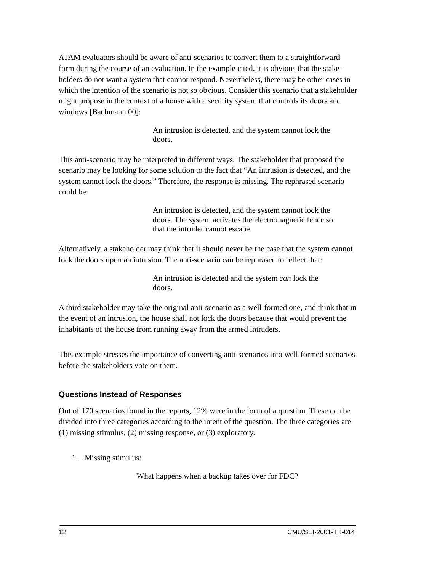ATAM evaluators should be aware of anti-scenarios to convert them to a straightforward form during the course of an evaluation. In the example cited, it is obvious that the stakeholders do not want a system that cannot respond. Nevertheless, there may be other cases in which the intention of the scenario is not so obvious. Consider this scenario that a stakeholder might propose in the context of a house with a security system that controls its doors and windows [Bachmann 00]:

> An intrusion is detected, and the system cannot lock the doors.

This anti-scenario may be interpreted in different ways. The stakeholder that proposed the scenario may be looking for some solution to the fact that "An intrusion is detected, and the system cannot lock the doors." Therefore, the response is missing. The rephrased scenario could be:

> An intrusion is detected, and the system cannot lock the doors. The system activates the electromagnetic fence so that the intruder cannot escape.

Alternatively, a stakeholder may think that it should never be the case that the system cannot lock the doors upon an intrusion. The anti-scenario can be rephrased to reflect that:

> An intrusion is detected and the system *can* lock the doors.

A third stakeholder may take the original anti-scenario as a well-formed one, and think that in the event of an intrusion, the house shall not lock the doors because that would prevent the inhabitants of the house from running away from the armed intruders.

This example stresses the importance of converting anti-scenarios into well-formed scenarios before the stakeholders vote on them.

#### **Questions Instead of Responses**

Out of 170 scenarios found in the reports, 12% were in the form of a question. These can be divided into three categories according to the intent of the question. The three categories are (1) missing stimulus, (2) missing response, or (3) exploratory.

1. Missing stimulus:

What happens when a backup takes over for FDC?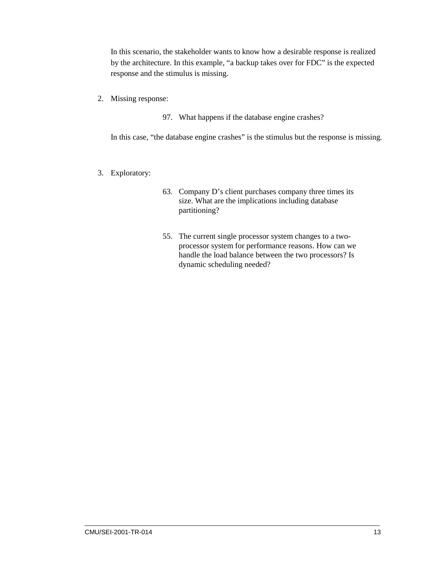In this scenario, the stakeholder wants to know how a desirable response is realized by the architecture. In this example, "a backup takes over for FDC" is the expected response and the stimulus is missing.

- 2. Missing response:
	- 97. What happens if the database engine crashes?

In this case, "the database engine crashes" is the stimulus but the response is missing.

- 3. Exploratory:
- 63. Company D's client purchases company three times its size. What are the implications including database partitioning?
- 55. The current single processor system changes to a twoprocessor system for performance reasons. How can we handle the load balance between the two processors? Is dynamic scheduling needed?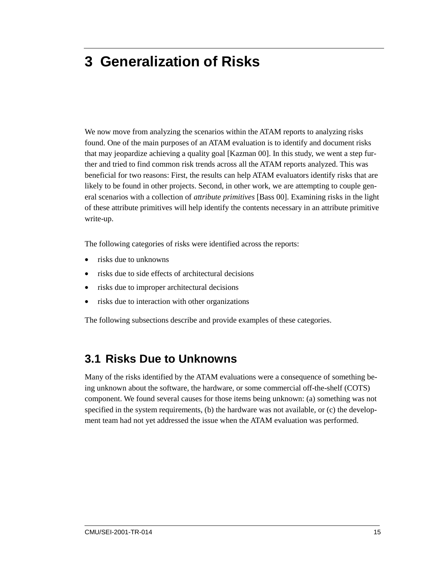# **3 Generalization of Risks**

We now move from analyzing the scenarios within the ATAM reports to analyzing risks found. One of the main purposes of an ATAM evaluation is to identify and document risks that may jeopardize achieving a quality goal [Kazman 00]. In this study, we went a step further and tried to find common risk trends across all the ATAM reports analyzed. This was beneficial for two reasons: First, the results can help ATAM evaluators identify risks that are likely to be found in other projects. Second, in other work, we are attempting to couple general scenarios with a collection of *attribute primitives* [Bass 00]. Examining risks in the light of these attribute primitives will help identify the contents necessary in an attribute primitive write-up.

The following categories of risks were identified across the reports:

- risks due to unknowns
- risks due to side effects of architectural decisions
- risks due to improper architectural decisions
- risks due to interaction with other organizations

The following subsections describe and provide examples of these categories.

#### **3.1 Risks Due to Unknowns**

Many of the risks identified by the ATAM evaluations were a consequence of something being unknown about the software, the hardware, or some commercial off-the-shelf (COTS) component. We found several causes for those items being unknown: (a) something was not specified in the system requirements, (b) the hardware was not available, or (c) the development team had not yet addressed the issue when the ATAM evaluation was performed.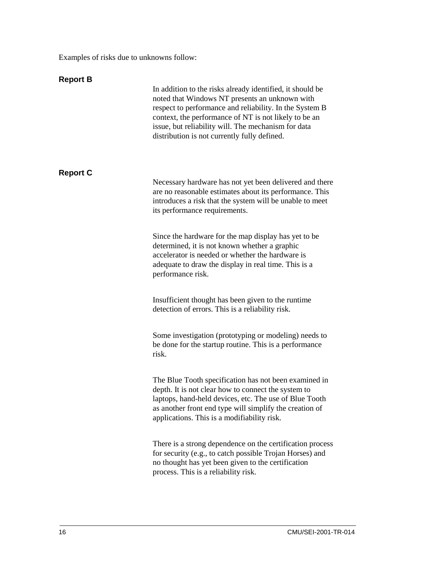Examples of risks due to unknowns follow:

| <b>Report B</b> | In addition to the risks already identified, it should be<br>noted that Windows NT presents an unknown with<br>respect to performance and reliability. In the System B<br>context, the performance of NT is not likely to be an<br>issue, but reliability will. The mechanism for data<br>distribution is not currently fully defined. |
|-----------------|----------------------------------------------------------------------------------------------------------------------------------------------------------------------------------------------------------------------------------------------------------------------------------------------------------------------------------------|
| <b>Report C</b> | Necessary hardware has not yet been delivered and there<br>are no reasonable estimates about its performance. This<br>introduces a risk that the system will be unable to meet<br>its performance requirements.                                                                                                                        |
|                 | Since the hardware for the map display has yet to be<br>determined, it is not known whether a graphic<br>accelerator is needed or whether the hardware is<br>adequate to draw the display in real time. This is a<br>performance risk.                                                                                                 |
|                 | Insufficient thought has been given to the runtime<br>detection of errors. This is a reliability risk.                                                                                                                                                                                                                                 |
|                 | Some investigation (prototyping or modeling) needs to<br>be done for the startup routine. This is a performance<br>risk.                                                                                                                                                                                                               |
|                 | The Blue Tooth specification has not been examined in<br>depth. It is not clear how to connect the system to<br>laptops, hand-held devices, etc. The use of Blue Tooth<br>as another front end type will simplify the creation of<br>applications. This is a modifiability risk.                                                       |
|                 | There is a strong dependence on the certification process<br>for security (e.g., to catch possible Trojan Horses) and<br>no thought has yet been given to the certification<br>process. This is a reliability risk.                                                                                                                    |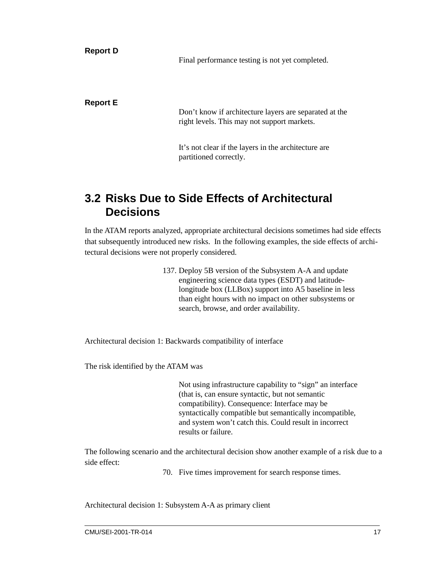| <b>Report D</b> | Final performance testing is not yet completed.                                                       |
|-----------------|-------------------------------------------------------------------------------------------------------|
| <b>Report E</b> | Don't know if architecture layers are separated at the<br>right levels. This may not support markets. |
|                 | It's not clear if the layers in the architecture are<br>partitioned correctly.                        |

# **3.2 Risks Due to Side Effects of Architectural Decisions**

In the ATAM reports analyzed, appropriate architectural decisions sometimes had side effects that subsequently introduced new risks. In the following examples, the side effects of architectural decisions were not properly considered.

> 137. Deploy 5B version of the Subsystem A-A and update engineering science data types (ESDT) and latitudelongitude box (LLBox) support into A5 baseline in less than eight hours with no impact on other subsystems or search, browse, and order availability.

Architectural decision 1: Backwards compatibility of interface

The risk identified by the ATAM was

 Not using infrastructure capability to "sign" an interface (that is, can ensure syntactic, but not semantic compatibility). Consequence: Interface may be syntactically compatible but semantically incompatible, and system won't catch this. Could result in incorrect results or failure.

The following scenario and the architectural decision show another example of a risk due to a side effect:

70. Five times improvement for search response times.

Architectural decision 1: Subsystem A-A as primary client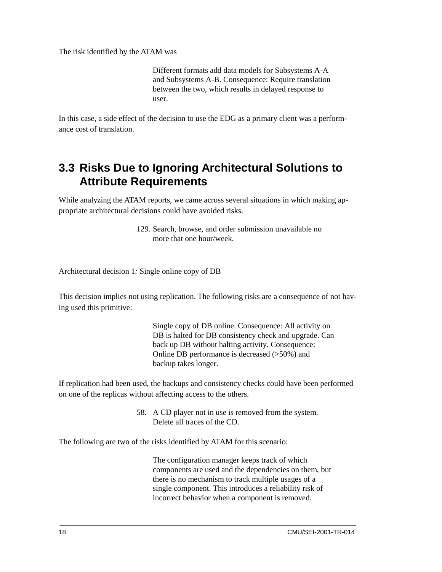The risk identified by the ATAM was

 Different formats add data models for Subsystems A-A and Subsystems A-B. Consequence: Require translation between the two, which results in delayed response to user.

In this case, a side effect of the decision to use the EDG as a primary client was a performance cost of translation.

## **3.3 Risks Due to Ignoring Architectural Solutions to Attribute Requirements**

While analyzing the ATAM reports, we came across several situations in which making appropriate architectural decisions could have avoided risks.

> 129. Search, browse, and order submission unavailable no more that one hour/week.

Architectural decision 1*:* Single online copy of DB

This decision implies not using replication. The following risks are a consequence of not having used this primitive:

> Single copy of DB online. Consequence: All activity on DB is halted for DB consistency check and upgrade. Can back up DB without halting activity. Consequence: Online DB performance is decreased (>50%) and backup takes longer.

If replication had been used, the backups and consistency checks could have been performed on one of the replicas without affecting access to the others.

> 58. A CD player not in use is removed from the system. Delete all traces of the CD.

The following are two of the risks identified by ATAM for this scenario:

 The configuration manager keeps track of which components are used and the dependencies on them, but there is no mechanism to track multiple usages of a single component. This introduces a reliability risk of incorrect behavior when a component is removed.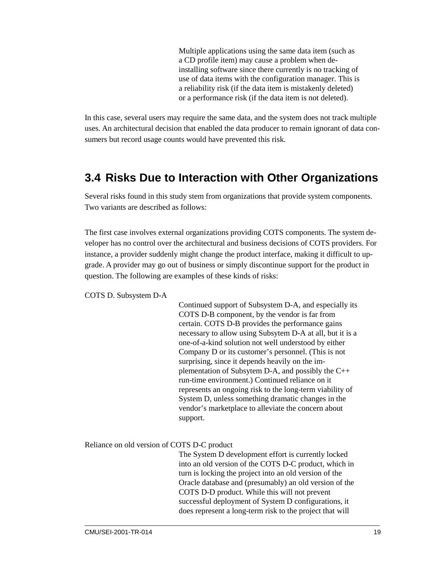Multiple applications using the same data item (such as a CD profile item) may cause a problem when deinstalling software since there currently is no tracking of use of data items with the configuration manager. This is a reliability risk (if the data item is mistakenly deleted) or a performance risk (if the data item is not deleted).

In this case, several users may require the same data, and the system does not track multiple uses. An architectural decision that enabled the data producer to remain ignorant of data consumers but record usage counts would have prevented this risk.

## **3.4 Risks Due to Interaction with Other Organizations**

Several risks found in this study stem from organizations that provide system components. Two variants are described as follows:

The first case involves external organizations providing COTS components. The system developer has no control over the architectural and business decisions of COTS providers. For instance, a provider suddenly might change the product interface, making it difficult to upgrade. A provider may go out of business or simply discontinue support for the product in question. The following are examples of these kinds of risks:

COTS D. Subsystem D-A

 Continued support of Subsystem D-A, and especially its COTS D-B component, by the vendor is far from certain. COTS D-B provides the performance gains necessary to allow using Subsytem D-A at all, but it is a one-of-a-kind solution not well understood by either Company D or its customer's personnel. (This is not surprising, since it depends heavily on the implementation of Subsytem D-A, and possibly the C++ run-time environment.) Continued reliance on it represents an ongoing risk to the long-term viability of System D, unless something dramatic changes in the vendor's marketplace to alleviate the concern about support.

#### Reliance on old version of COTS D-C product

 The System D development effort is currently locked into an old version of the COTS D-C product, which in turn is locking the project into an old version of the Oracle database and (presumably) an old version of the COTS D-D product. While this will not prevent successful deployment of System D configurations, it does represent a long-term risk to the project that will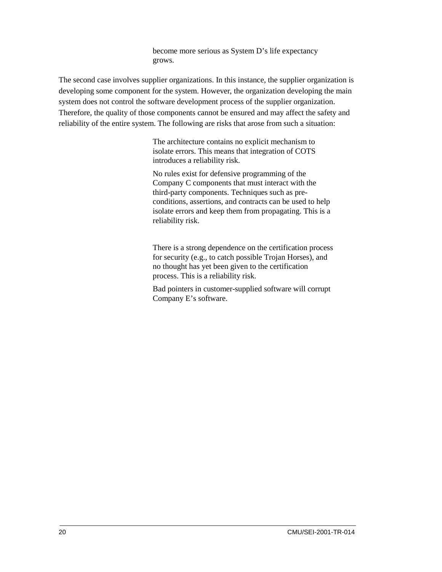become more serious as System D's life expectancy grows.

The second case involves supplier organizations. In this instance, the supplier organization is developing some component for the system. However, the organization developing the main system does not control the software development process of the supplier organization. Therefore, the quality of those components cannot be ensured and may affect the safety and reliability of the entire system. The following are risks that arose from such a situation:

> The architecture contains no explicit mechanism to isolate errors. This means that integration of COTS introduces a reliability risk.

 No rules exist for defensive programming of the Company C components that must interact with the third-party components. Techniques such as preconditions, assertions, and contracts can be used to help isolate errors and keep them from propagating. This is a reliability risk.

 There is a strong dependence on the certification process for security (e.g., to catch possible Trojan Horses), and no thought has yet been given to the certification process. This is a reliability risk.

 Bad pointers in customer-supplied software will corrupt Company E's software.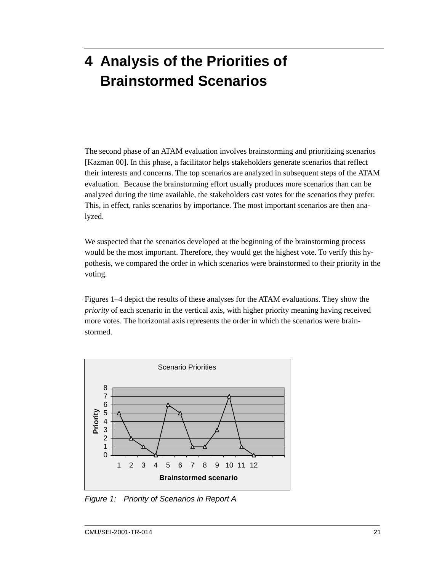# **4 Analysis of the Priorities of Brainstormed Scenarios**

The second phase of an ATAM evaluation involves brainstorming and prioritizing scenarios [Kazman 00]. In this phase, a facilitator helps stakeholders generate scenarios that reflect their interests and concerns. The top scenarios are analyzed in subsequent steps of the ATAM evaluation. Because the brainstorming effort usually produces more scenarios than can be analyzed during the time available, the stakeholders cast votes for the scenarios they prefer. This, in effect, ranks scenarios by importance. The most important scenarios are then analyzed.

We suspected that the scenarios developed at the beginning of the brainstorming process would be the most important. Therefore, they would get the highest vote. To verify this hypothesis, we compared the order in which scenarios were brainstormed to their priority in the voting.

Figures 1–4 depict the results of these analyses for the ATAM evaluations. They show the *priority* of each scenario in the vertical axis, with higher priority meaning having received more votes. The horizontal axis represents the order in which the scenarios were brainstormed.



*Figure 1: Priority of Scenarios in Report A*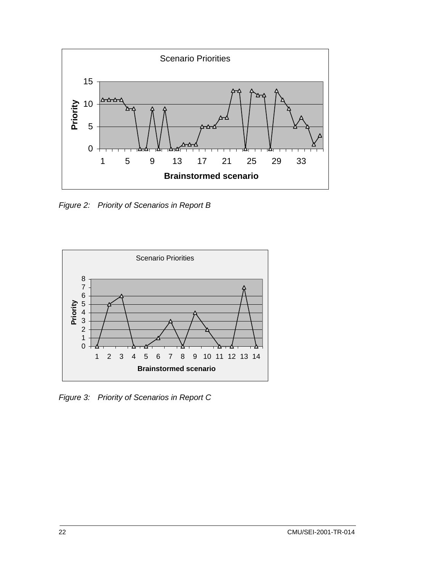

*Figure 2: Priority of Scenarios in Report B* 



*Figure 3: Priority of Scenarios in Report C*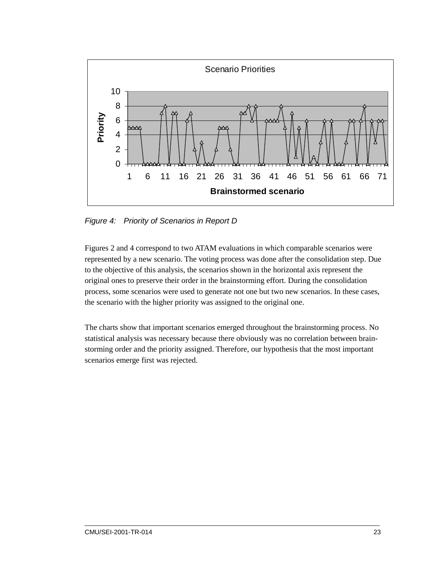

*Figure 4: Priority of Scenarios in Report D* 

Figures 2 and 4 correspond to two ATAM evaluations in which comparable scenarios were represented by a new scenario. The voting process was done after the consolidation step. Due to the objective of this analysis, the scenarios shown in the horizontal axis represent the original ones to preserve their order in the brainstorming effort. During the consolidation process, some scenarios were used to generate not one but two new scenarios. In these cases, the scenario with the higher priority was assigned to the original one.

The charts show that important scenarios emerged throughout the brainstorming process. No statistical analysis was necessary because there obviously was no correlation between brainstorming order and the priority assigned. Therefore, our hypothesis that the most important scenarios emerge first was rejected.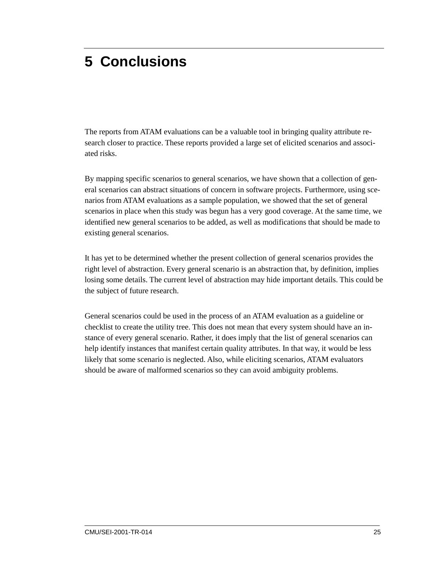# **5 Conclusions**

The reports from ATAM evaluations can be a valuable tool in bringing quality attribute research closer to practice. These reports provided a large set of elicited scenarios and associated risks.

By mapping specific scenarios to general scenarios, we have shown that a collection of general scenarios can abstract situations of concern in software projects. Furthermore, using scenarios from ATAM evaluations as a sample population, we showed that the set of general scenarios in place when this study was begun has a very good coverage. At the same time, we identified new general scenarios to be added, as well as modifications that should be made to existing general scenarios.

It has yet to be determined whether the present collection of general scenarios provides the right level of abstraction. Every general scenario is an abstraction that, by definition, implies losing some details. The current level of abstraction may hide important details. This could be the subject of future research.

General scenarios could be used in the process of an ATAM evaluation as a guideline or checklist to create the utility tree. This does not mean that every system should have an instance of every general scenario. Rather, it does imply that the list of general scenarios can help identify instances that manifest certain quality attributes. In that way, it would be less likely that some scenario is neglected. Also, while eliciting scenarios, ATAM evaluators should be aware of malformed scenarios so they can avoid ambiguity problems.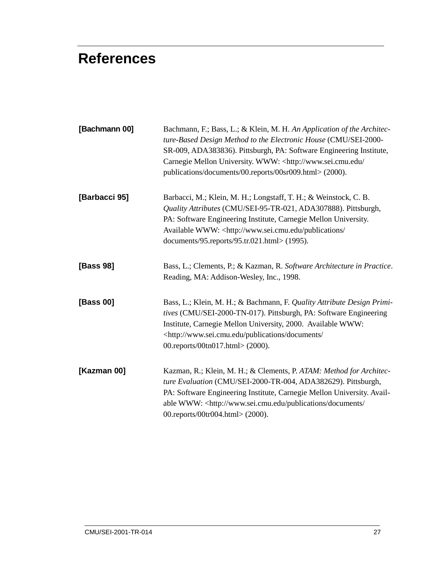# **References**

| [Bachmann 00] | Bachmann, F.; Bass, L.; & Klein, M. H. An Application of the Architec-<br>ture-Based Design Method to the Electronic House (CMU/SEI-2000-<br>SR-009, ADA383836). Pittsburgh, PA: Software Engineering Institute,<br>Carnegie Mellon University. WWW: <http: <br="" www.sei.cmu.edu="">publications/documents/00.reports/00sr009.html&gt; (2000).</http:> |
|---------------|----------------------------------------------------------------------------------------------------------------------------------------------------------------------------------------------------------------------------------------------------------------------------------------------------------------------------------------------------------|
| [Barbacci 95] | Barbacci, M.; Klein, M. H.; Longstaff, T. H.; & Weinstock, C. B.<br>Quality Attributes (CMU/SEI-95-TR-021, ADA307888). Pittsburgh,<br>PA: Software Engineering Institute, Carnegie Mellon University.<br>Available WWW: <http: <br="" publications="" www.sei.cmu.edu="">documents/95.reports/95.tr.021.html&gt; (1995).</http:>                         |
| [Bass 98]     | Bass, L.; Clements, P.; & Kazman, R. Software Architecture in Practice.<br>Reading, MA: Addison-Wesley, Inc., 1998.                                                                                                                                                                                                                                      |
| [Bass 00]     | Bass, L.; Klein, M. H.; & Bachmann, F. Quality Attribute Design Primi-<br>tives (CMU/SEI-2000-TN-017). Pittsburgh, PA: Software Engineering<br>Institute, Carnegie Mellon University, 2000. Available WWW:<br><http: <br="" documents="" publications="" www.sei.cmu.edu="">00.reports/00tn017.html&gt; (2000).</http:>                                  |
| [Kazman 00]   | Kazman, R.; Klein, M. H.; & Clements, P. ATAM: Method for Architec-<br>ture Evaluation (CMU/SEI-2000-TR-004, ADA382629). Pittsburgh,<br>PA: Software Engineering Institute, Carnegie Mellon University. Avail-<br>able WWW: <http: <br="" documents="" publications="" www.sei.cmu.edu="">00.reports/00tr004.html&gt; (2000).</http:>                    |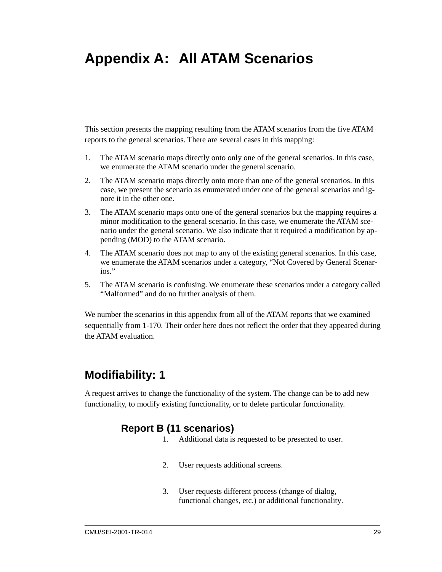# **Appendix A: All ATAM Scenarios**

This section presents the mapping resulting from the ATAM scenarios from the five ATAM reports to the general scenarios. There are several cases in this mapping:

- 1. The ATAM scenario maps directly onto only one of the general scenarios. In this case, we enumerate the ATAM scenario under the general scenario.
- 2. The ATAM scenario maps directly onto more than one of the general scenarios. In this case, we present the scenario as enumerated under one of the general scenarios and ignore it in the other one.
- 3. The ATAM scenario maps onto one of the general scenarios but the mapping requires a minor modification to the general scenario. In this case, we enumerate the ATAM scenario under the general scenario. We also indicate that it required a modification by appending (MOD) to the ATAM scenario.
- 4. The ATAM scenario does not map to any of the existing general scenarios. In this case, we enumerate the ATAM scenarios under a category, "Not Covered by General Scenarios."
- 5. The ATAM scenario is confusing. We enumerate these scenarios under a category called "Malformed" and do no further analysis of them.

We number the scenarios in this appendix from all of the ATAM reports that we examined sequentially from 1-170. Their order here does not reflect the order that they appeared during the ATAM evaluation.

## **Modifiability: 1**

A request arrives to change the functionality of the system. The change can be to add new functionality, to modify existing functionality, or to delete particular functionality.

#### **Report B (11 scenarios)**

- 1. Additional data is requested to be presented to user.
- 2. User requests additional screens.
- 3. User requests different process (change of dialog, functional changes, etc.) or additional functionality.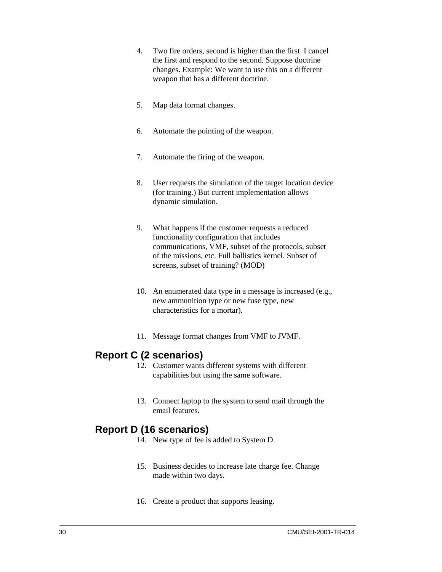- 4. Two fire orders, second is higher than the first. I cancel the first and respond to the second. Suppose doctrine changes. Example: We want to use this on a different weapon that has a different doctrine.
- 5. Map data format changes.
- 6. Automate the pointing of the weapon.
- 7. Automate the firing of the weapon.
- 8. User requests the simulation of the target location device (for training.) But current implementation allows dynamic simulation.
- 9. What happens if the customer requests a reduced functionality configuration that includes communications, VMF, subset of the protocols, subset of the missions, etc. Full ballistics kernel. Subset of screens, subset of training? (MOD)
- 10. An enumerated data type in a message is increased (e.g., new ammunition type or new fuse type, new characteristics for a mortar).
- 11. Message format changes from VMF to JVMF.

#### **Report C (2 scenarios)**

- 12. Customer wants different systems with different capabilities but using the same software.
- 13. Connect laptop to the system to send mail through the email features.

#### **Report D (16 scenarios)**

- 14. New type of fee is added to System D.
- 15. Business decides to increase late charge fee. Change made within two days.
- 16. Create a product that supports leasing.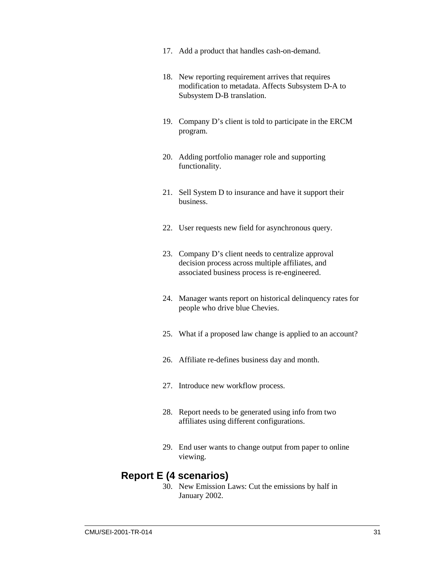- 17. Add a product that handles cash-on-demand.
- 18. New reporting requirement arrives that requires modification to metadata. Affects Subsystem D-A to Subsystem D-B translation.
- 19. Company D's client is told to participate in the ERCM program.
- 20. Adding portfolio manager role and supporting functionality.
- 21. Sell System D to insurance and have it support their business.
- 22. User requests new field for asynchronous query.
- 23. Company D's client needs to centralize approval decision process across multiple affiliates, and associated business process is re-engineered.
- 24. Manager wants report on historical delinquency rates for people who drive blue Chevies.
- 25. What if a proposed law change is applied to an account?
- 26. Affiliate re-defines business day and month.
- 27. Introduce new workflow process.
- 28. Report needs to be generated using info from two affiliates using different configurations.
- 29. End user wants to change output from paper to online viewing.

#### **Report E (4 scenarios)**

30. New Emission Laws: Cut the emissions by half in January 2002.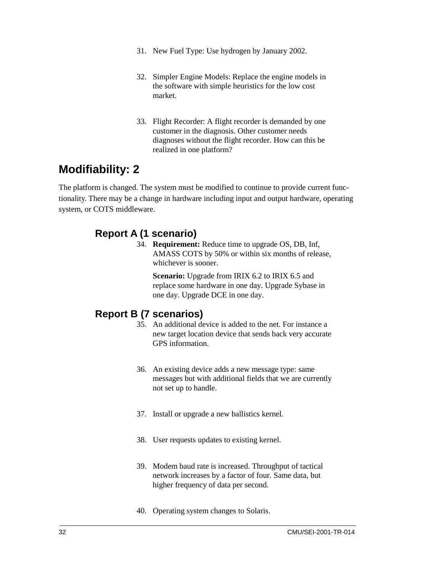- 31. New Fuel Type: Use hydrogen by January 2002.
- 32. Simpler Engine Models: Replace the engine models in the software with simple heuristics for the low cost market.
- 33. Flight Recorder: A flight recorder is demanded by one customer in the diagnosis. Other customer needs diagnoses without the flight recorder. How can this be realized in one platform?

## **Modifiability: 2**

The platform is changed. The system must be modified to continue to provide current functionality. There may be a change in hardware including input and output hardware, operating system, or COTS middleware.

#### **Report A (1 scenario)**

34. **Requirement:** Reduce time to upgrade OS, DB, Inf, AMASS COTS by 50% or within six months of release, whichever is sooner.

**Scenario:** Upgrade from IRIX 6.2 to IRIX 6.5 and replace some hardware in one day. Upgrade Sybase in one day. Upgrade DCE in one day.

#### **Report B (7 scenarios)**

- 35. An additional device is added to the net. For instance a new target location device that sends back very accurate GPS information.
- 36. An existing device adds a new message type: same messages but with additional fields that we are currently not set up to handle.
- 37. Install or upgrade a new ballistics kernel.
- 38. User requests updates to existing kernel.
- 39. Modem baud rate is increased. Throughput of tactical network increases by a factor of four. Same data, but higher frequency of data per second.
- 40. Operating system changes to Solaris.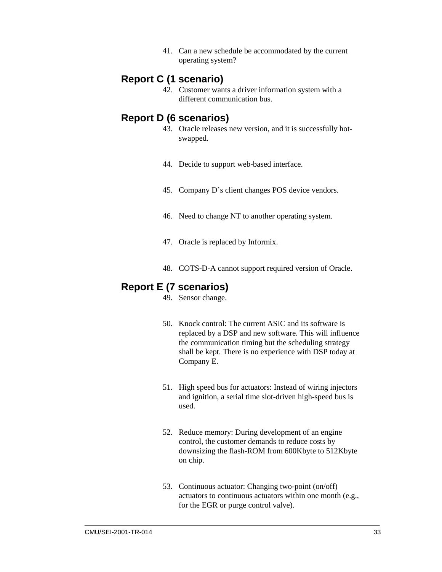41. Can a new schedule be accommodated by the current operating system?

## **Report C (1 scenario)**

42. Customer wants a driver information system with a different communication bus.

### **Report D (6 scenarios)**

- 43. Oracle releases new version, and it is successfully hotswapped.
- 44. Decide to support web-based interface.
- 45. Company D's client changes POS device vendors.
- 46. Need to change NT to another operating system.
- 47. Oracle is replaced by Informix.
- 48. COTS-D-A cannot support required version of Oracle.

#### **Report E (7 scenarios)**

- 49. Sensor change.
- 50. Knock control: The current ASIC and its software is replaced by a DSP and new software. This will influence the communication timing but the scheduling strategy shall be kept. There is no experience with DSP today at Company E.
- 51. High speed bus for actuators: Instead of wiring injectors and ignition, a serial time slot-driven high-speed bus is used.
- 52. Reduce memory: During development of an engine control, the customer demands to reduce costs by downsizing the flash-ROM from 600Kbyte to 512Kbyte on chip.
- 53. Continuous actuator: Changing two-point (on/off) actuators to continuous actuators within one month (e.g., for the EGR or purge control valve).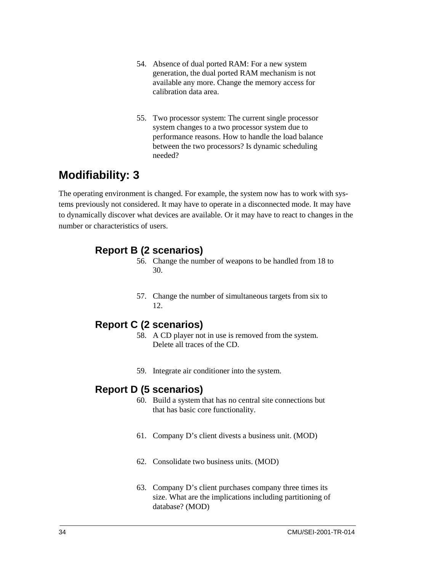- 54. Absence of dual ported RAM: For a new system generation, the dual ported RAM mechanism is not available any more. Change the memory access for calibration data area.
- 55. Two processor system: The current single processor system changes to a two processor system due to performance reasons. How to handle the load balance between the two processors? Is dynamic scheduling needed?

# **Modifiability: 3**

The operating environment is changed. For example, the system now has to work with systems previously not considered. It may have to operate in a disconnected mode. It may have to dynamically discover what devices are available. Or it may have to react to changes in the number or characteristics of users.

#### **Report B (2 scenarios)**

- 56. Change the number of weapons to be handled from 18 to 30.
- 57. Change the number of simultaneous targets from six to 12.

#### **Report C (2 scenarios)**

- 58. A CD player not in use is removed from the system. Delete all traces of the CD.
- 59. Integrate air conditioner into the system.

#### **Report D (5 scenarios)**

- 60. Build a system that has no central site connections but that has basic core functionality.
- 61. Company D's client divests a business unit. (MOD)
- 62. Consolidate two business units. (MOD)
- 63. Company D's client purchases company three times its size. What are the implications including partitioning of database? (MOD)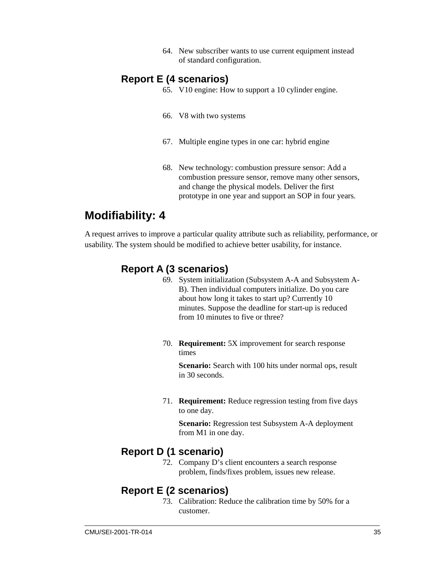64. New subscriber wants to use current equipment instead of standard configuration.

## **Report E (4 scenarios)**

- 65. V10 engine: How to support a 10 cylinder engine.
- 66. V8 with two systems
- 67. Multiple engine types in one car: hybrid engine
- 68. New technology: combustion pressure sensor: Add a combustion pressure sensor, remove many other sensors, and change the physical models. Deliver the first prototype in one year and support an SOP in four years.

# **Modifiability: 4**

A request arrives to improve a particular quality attribute such as reliability, performance, or usability. The system should be modified to achieve better usability, for instance.

## **Report A (3 scenarios)**

- 69. System initialization (Subsystem A-A and Subsystem A-B). Then individual computers initialize. Do you care about how long it takes to start up? Currently 10 minutes. Suppose the deadline for start-up is reduced from 10 minutes to five or three?
- 70. **Requirement:** 5X improvement for search response times

 **Scenario:** Search with 100 hits under normal ops, result in 30 seconds.

71. **Requirement:** Reduce regression testing from five days to one day.

 **Scenario:** Regression test Subsystem A-A deployment from M1 in one day.

#### **Report D (1 scenario)**

72. Company D's client encounters a search response problem, finds/fixes problem, issues new release.

#### **Report E (2 scenarios)**

73. Calibration: Reduce the calibration time by 50% for a customer.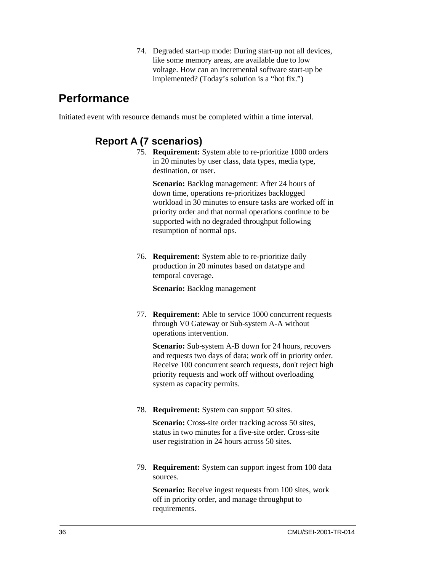74. Degraded start-up mode: During start-up not all devices, like some memory areas, are available due to low voltage. How can an incremental software start-up be implemented? (Today's solution is a "hot fix.")

## **Performance**

Initiated event with resource demands must be completed within a time interval.

## **Report A (7 scenarios)**

75. **Requirement:** System able to re-prioritize 1000 orders in 20 minutes by user class, data types, media type, destination, or user.

 **Scenario:** Backlog management: After 24 hours of down time, operations re-prioritizes backlogged workload in 30 minutes to ensure tasks are worked off in priority order and that normal operations continue to be supported with no degraded throughput following resumption of normal ops.

76. **Requirement:** System able to re-prioritize daily production in 20 minutes based on datatype and temporal coverage.

 **Scenario:** Backlog management

77. **Requirement:** Able to service 1000 concurrent requests through V0 Gateway or Sub-system A-A without operations intervention.

**Scenario:** Sub-system A-B down for 24 hours, recovers and requests two days of data; work off in priority order. Receive 100 concurrent search requests, don't reject high priority requests and work off without overloading system as capacity permits.

78. **Requirement:** System can support 50 sites.

**Scenario:** Cross-site order tracking across 50 sites, status in two minutes for a five-site order. Cross-site user registration in 24 hours across 50 sites.

79. **Requirement:** System can support ingest from 100 data sources.

**Scenario:** Receive ingest requests from 100 sites, work off in priority order, and manage throughput to requirements.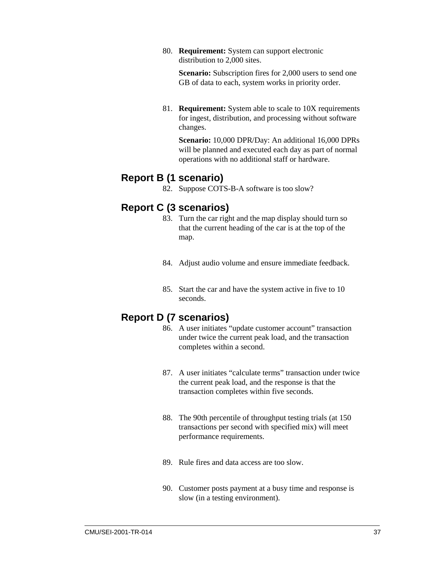80. **Requirement:** System can support electronic distribution to 2,000 sites.

> **Scenario:** Subscription fires for 2,000 users to send one GB of data to each, system works in priority order.

81. **Requirement:** System able to scale to 10X requirements for ingest, distribution, and processing without software changes.

 **Scenario:** 10,000 DPR/Day: An additional 16,000 DPRs will be planned and executed each day as part of normal operations with no additional staff or hardware.

#### **Report B (1 scenario)**

82. Suppose COTS-B-A software is too slow?

#### **Report C (3 scenarios)**

- 83. Turn the car right and the map display should turn so that the current heading of the car is at the top of the map.
- 84. Adjust audio volume and ensure immediate feedback.
- 85. Start the car and have the system active in five to 10 seconds.

#### **Report D (7 scenarios)**

- 86. A user initiates "update customer account" transaction under twice the current peak load, and the transaction completes within a second.
- 87. A user initiates "calculate terms" transaction under twice the current peak load, and the response is that the transaction completes within five seconds.
- 88. The 90th percentile of throughput testing trials (at 150 transactions per second with specified mix) will meet performance requirements.
- 89. Rule fires and data access are too slow.
- 90. Customer posts payment at a busy time and response is slow (in a testing environment).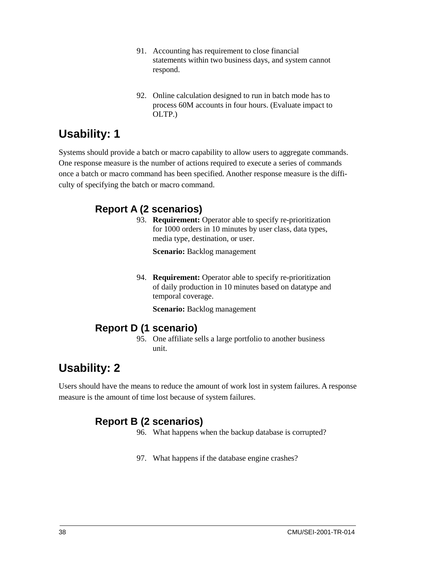- 91. Accounting has requirement to close financial statements within two business days, and system cannot respond.
- 92. Online calculation designed to run in batch mode has to process 60M accounts in four hours. (Evaluate impact to OLTP.)

# **Usability: 1**

Systems should provide a batch or macro capability to allow users to aggregate commands. One response measure is the number of actions required to execute a series of commands once a batch or macro command has been specified. Another response measure is the difficulty of specifying the batch or macro command.

## **Report A (2 scenarios)**

93. **Requirement:** Operator able to specify re-prioritization for 1000 orders in 10 minutes by user class, data types, media type, destination, or user.

 **Scenario:** Backlog management

94. **Requirement:** Operator able to specify re-prioritization of daily production in 10 minutes based on datatype and temporal coverage.

 **Scenario:** Backlog management

## **Report D (1 scenario)**

95. One affiliate sells a large portfolio to another business unit.

# **Usability: 2**

Users should have the means to reduce the amount of work lost in system failures. A response measure is the amount of time lost because of system failures.

## **Report B (2 scenarios)**

- 96. What happens when the backup database is corrupted?
- 97. What happens if the database engine crashes?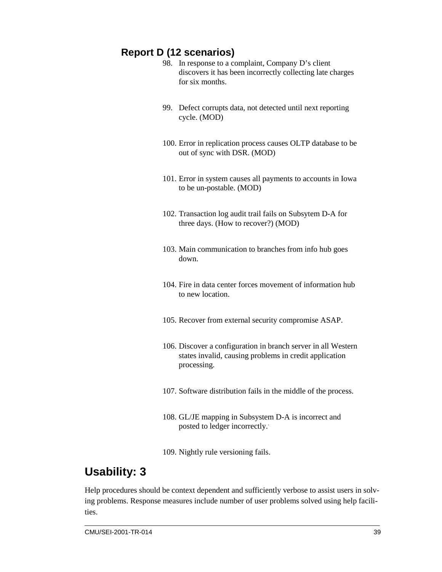## **Report D (12 scenarios)**

- 98. In response to a complaint, Company D's client discovers it has been incorrectly collecting late charges for six months.
- 99. Defect corrupts data, not detected until next reporting cycle. (MOD)
- 100. Error in replication process causes OLTP database to be out of sync with DSR. (MOD)
- 101. Error in system causes all payments to accounts in Iowa to be un-postable. (MOD)
- 102. Transaction log audit trail fails on Subsytem D-A for three days. (How to recover?) (MOD)
- 103. Main communication to branches from info hub goes down.
- 104. Fire in data center forces movement of information hub to new location.
- 105. Recover from external security compromise ASAP.
- 106. Discover a configuration in branch server in all Western states invalid, causing problems in credit application processing.
- 107. Software distribution fails in the middle of the process.
- 108. GL/JE mapping in Subsystem D-A is incorrect and posted to ledger incorrectly..
- 109. Nightly rule versioning fails.

## **Usability: 3**

Help procedures should be context dependent and sufficiently verbose to assist users in solving problems. Response measures include number of user problems solved using help facilities.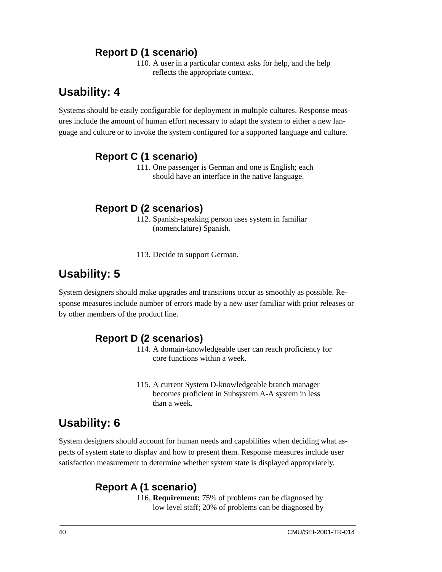#### **Report D (1 scenario)**

110. A user in a particular context asks for help, and the help reflects the appropriate context.

## **Usability: 4**

Systems should be easily configurable for deployment in multiple cultures. Response measures include the amount of human effort necessary to adapt the system to either a new language and culture or to invoke the system configured for a supported language and culture.

### **Report C (1 scenario)**

111. One passenger is German and one is English; each should have an interface in the native language.

#### **Report D (2 scenarios)**

112. Spanish-speaking person uses system in familiar (nomenclature) Spanish.

113. Decide to support German.

# **Usability: 5**

System designers should make upgrades and transitions occur as smoothly as possible. Response measures include number of errors made by a new user familiar with prior releases or by other members of the product line.

#### **Report D (2 scenarios)**

- 114. A domain-knowledgeable user can reach proficiency for core functions within a week.
- 115. A current System D-knowledgeable branch manager becomes proficient in Subsystem A-A system in less than a week.

# **Usability: 6**

System designers should account for human needs and capabilities when deciding what aspects of system state to display and how to present them. Response measures include user satisfaction measurement to determine whether system state is displayed appropriately.

## **Report A (1 scenario)**

116. **Requirement:** 75% of problems can be diagnosed by low level staff; 20% of problems can be diagnosed by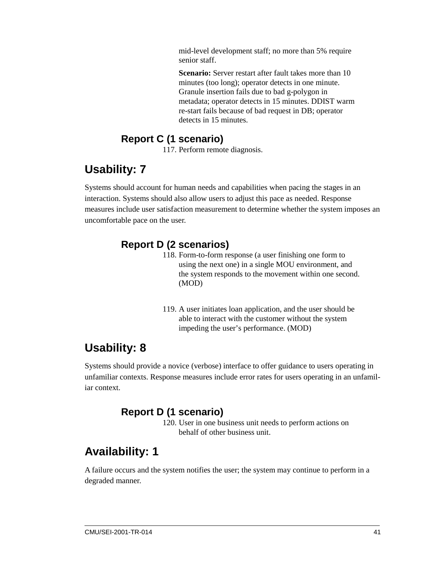mid-level development staff; no more than 5% require senior staff.

**Scenario:** Server restart after fault takes more than 10 minutes (too long); operator detects in one minute. Granule insertion fails due to bad g-polygon in metadata; operator detects in 15 minutes. DDIST warm re-start fails because of bad request in DB; operator detects in 15 minutes.

### **Report C (1 scenario)**

117. Perform remote diagnosis.

# **Usability: 7**

Systems should account for human needs and capabilities when pacing the stages in an interaction. Systems should also allow users to adjust this pace as needed. Response measures include user satisfaction measurement to determine whether the system imposes an uncomfortable pace on the user.

## **Report D (2 scenarios)**

- 118. Form-to-form response (a user finishing one form to using the next one) in a single MOU environment, and the system responds to the movement within one second. (MOD)
- 119. A user initiates loan application, and the user should be able to interact with the customer without the system impeding the user's performance. (MOD)

# **Usability: 8**

Systems should provide a novice (verbose) interface to offer guidance to users operating in unfamiliar contexts. Response measures include error rates for users operating in an unfamiliar context.

## **Report D (1 scenario)**

120. User in one business unit needs to perform actions on behalf of other business unit.

# **Availability: 1**

A failure occurs and the system notifies the user; the system may continue to perform in a degraded manner.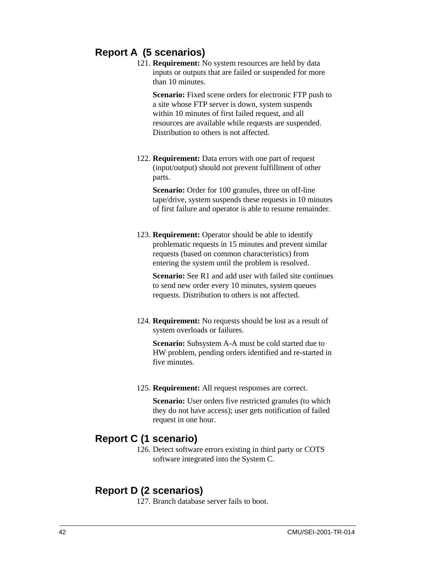#### **Report A (5 scenarios)**

121. **Requirement:** No system resources are held by data inputs or outputs that are failed or suspended for more than 10 minutes.

**Scenario:** Fixed scene orders for electronic FTP push to a site whose FTP server is down, system suspends within 10 minutes of first failed request, and all resources are available while requests are suspended. Distribution to others is not affected.

122. **Requirement:** Data errors with one part of request (input/output) should not prevent fulfillment of other parts.

**Scenario:** Order for 100 granules, three on off-line tape/drive, system suspends these requests in 10 minutes of first failure and operator is able to resume remainder.

123. **Requirement:** Operator should be able to identify problematic requests in 15 minutes and prevent similar requests (based on common characteristics) from entering the system until the problem is resolved.

**Scenario:** See R1 and add user with failed site continues to send new order every 10 minutes, system queues requests. Distribution to others is not affected.

124. **Requirement:** No requests should be lost as a result of system overloads or failures.

**Scenario:** Subsystem A-A must be cold started due to HW problem, pending orders identified and re-started in five minutes.

125. **Requirement:** All request responses are correct.

**Scenario:** User orders five restricted granules (to which they do not have access); user gets notification of failed request in one hour.

#### **Report C (1 scenario)**

126. Detect software errors existing in third party or COTS software integrated into the System C.

#### **Report D (2 scenarios)**

127. Branch database server fails to boot.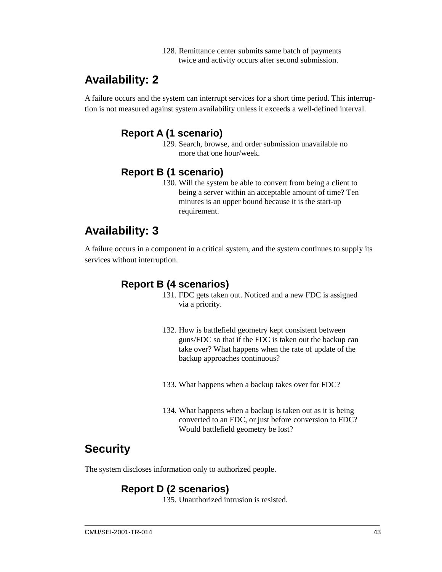128. Remittance center submits same batch of payments twice and activity occurs after second submission.

# **Availability: 2**

A failure occurs and the system can interrupt services for a short time period. This interruption is not measured against system availability unless it exceeds a well-defined interval.

## **Report A (1 scenario)**

129. Search, browse, and order submission unavailable no more that one hour/week.

## **Report B (1 scenario)**

130. Will the system be able to convert from being a client to being a server within an acceptable amount of time? Ten minutes is an upper bound because it is the start-up requirement.

# **Availability: 3**

A failure occurs in a component in a critical system, and the system continues to supply its services without interruption.

#### **Report B (4 scenarios)**

- 131. FDC gets taken out. Noticed and a new FDC is assigned via a priority.
- 132. How is battlefield geometry kept consistent between guns/FDC so that if the FDC is taken out the backup can take over? What happens when the rate of update of the backup approaches continuous?
- 133. What happens when a backup takes over for FDC?
- 134. What happens when a backup is taken out as it is being converted to an FDC, or just before conversion to FDC? Would battlefield geometry be lost?

# **Security**

The system discloses information only to authorized people.

## **Report D (2 scenarios)**

135. Unauthorized intrusion is resisted.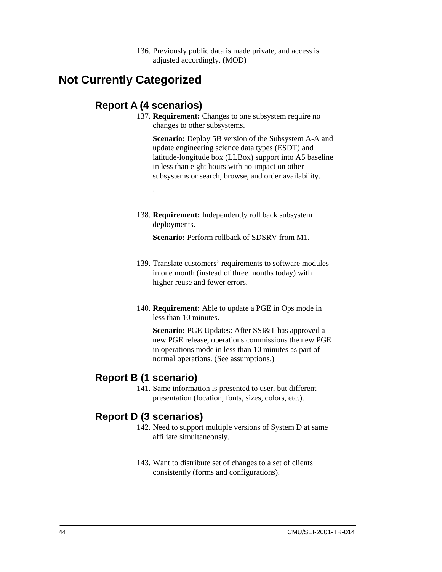136. Previously public data is made private, and access is adjusted accordingly. (MOD)

# **Not Currently Categorized**

### **Report A (4 scenarios)**

.

137. **Requirement:** Changes to one subsystem require no changes to other subsystems.

> **Scenario:** Deploy 5B version of the Subsystem A-A and update engineering science data types (ESDT) and latitude-longitude box (LLBox) support into A5 baseline in less than eight hours with no impact on other subsystems or search, browse, and order availability.

138. **Requirement:** Independently roll back subsystem deployments.

 **Scenario:** Perform rollback of SDSRV from M1.

- 139. Translate customers' requirements to software modules in one month (instead of three months today) with higher reuse and fewer errors.
- 140. **Requirement:** Able to update a PGE in Ops mode in less than 10 minutes.

 **Scenario:** PGE Updates: After SSI&T has approved a new PGE release, operations commissions the new PGE in operations mode in less than 10 minutes as part of normal operations. (See assumptions.)

#### **Report B (1 scenario)**

141. Same information is presented to user, but different presentation (location, fonts, sizes, colors, etc.).

#### **Report D (3 scenarios)**

- 142. Need to support multiple versions of System D at same affiliate simultaneously.
- 143. Want to distribute set of changes to a set of clients consistently (forms and configurations).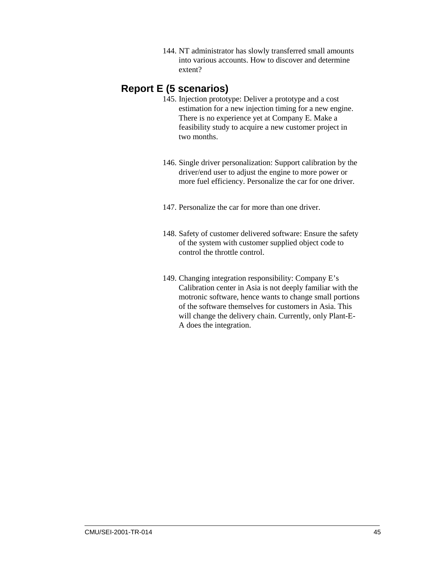144. NT administrator has slowly transferred small amounts into various accounts. How to discover and determine extent?

#### **Report E (5 scenarios)**

- 145. Injection prototype: Deliver a prototype and a cost estimation for a new injection timing for a new engine. There is no experience yet at Company E. Make a feasibility study to acquire a new customer project in two months.
- 146. Single driver personalization: Support calibration by the driver/end user to adjust the engine to more power or more fuel efficiency. Personalize the car for one driver.
- 147. Personalize the car for more than one driver.
- 148. Safety of customer delivered software: Ensure the safety of the system with customer supplied object code to control the throttle control.
- 149. Changing integration responsibility: Company E's Calibration center in Asia is not deeply familiar with the motronic software, hence wants to change small portions of the software themselves for customers in Asia. This will change the delivery chain. Currently, only Plant-E-A does the integration.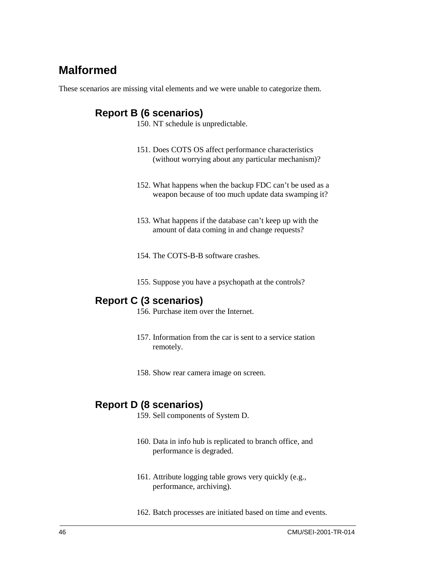### **Malformed**

These scenarios are missing vital elements and we were unable to categorize them.

#### **Report B (6 scenarios)**

150. NT schedule is unpredictable.

- 151. Does COTS OS affect performance characteristics (without worrying about any particular mechanism)?
- 152. What happens when the backup FDC can't be used as a weapon because of too much update data swamping it?
- 153. What happens if the database can't keep up with the amount of data coming in and change requests?
- 154. The COTS-B-B software crashes.
- 155. Suppose you have a psychopath at the controls?

#### **Report C (3 scenarios)**

- 156. Purchase item over the Internet.
- 157. Information from the car is sent to a service station remotely.
- 158. Show rear camera image on screen.

#### **Report D (8 scenarios)**

- 159. Sell components of System D.
- 160. Data in info hub is replicated to branch office, and performance is degraded.
- 161. Attribute logging table grows very quickly (e.g., performance, archiving).
- 162. Batch processes are initiated based on time and events.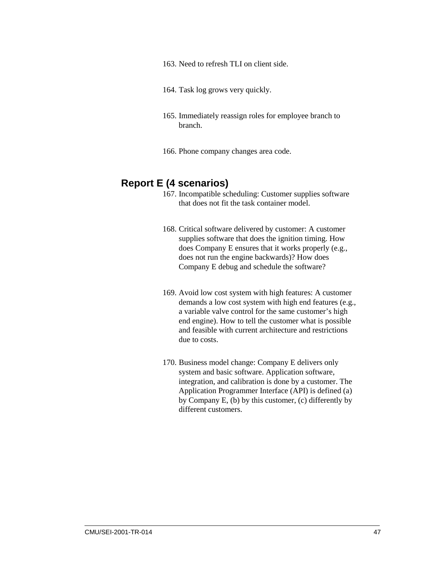- 163. Need to refresh TLI on client side.
- 164. Task log grows very quickly.
- 165. Immediately reassign roles for employee branch to branch.
- 166. Phone company changes area code.

#### **Report E (4 scenarios)**

- 167. Incompatible scheduling: Customer supplies software that does not fit the task container model.
- 168. Critical software delivered by customer: A customer supplies software that does the ignition timing. How does Company E ensures that it works properly (e.g., does not run the engine backwards)? How does Company E debug and schedule the software?
- 169. Avoid low cost system with high features: A customer demands a low cost system with high end features (e.g., a variable valve control for the same customer's high end engine). How to tell the customer what is possible and feasible with current architecture and restrictions due to costs.
- 170. Business model change: Company E delivers only system and basic software. Application software, integration, and calibration is done by a customer. The Application Programmer Interface (API) is defined (a) by Company E, (b) by this customer, (c) differently by different customers.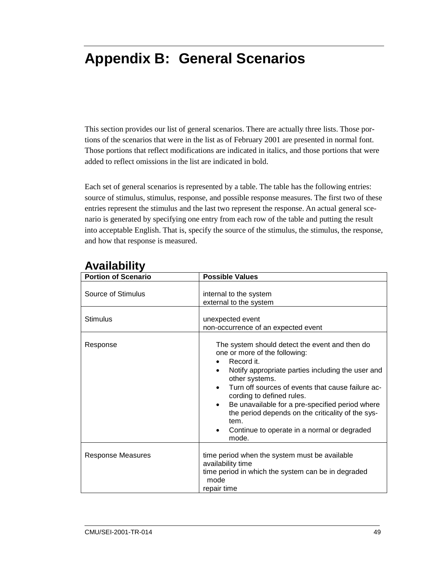# **Appendix B: General Scenarios**

This section provides our list of general scenarios. There are actually three lists. Those portions of the scenarios that were in the list as of February 2001 are presented in normal font. Those portions that reflect modifications are indicated in italics, and those portions that were added to reflect omissions in the list are indicated in bold.

Each set of general scenarios is represented by a table. The table has the following entries: source of stimulus, stimulus, response, and possible response measures. The first two of these entries represent the stimulus and the last two represent the response. An actual general scenario is generated by specifying one entry from each row of the table and putting the result into acceptable English. That is, specify the source of the stimulus, the stimulus, the response, and how that response is measured.

| <b>Portion of Scenario</b> | <b>Possible Values</b>                                                                                                                                                                                                                                                                                                                                                                                                                                   |  |  |
|----------------------------|----------------------------------------------------------------------------------------------------------------------------------------------------------------------------------------------------------------------------------------------------------------------------------------------------------------------------------------------------------------------------------------------------------------------------------------------------------|--|--|
| Source of Stimulus         | internal to the system<br>external to the system                                                                                                                                                                                                                                                                                                                                                                                                         |  |  |
| Stimulus                   | unexpected event<br>non-occurrence of an expected event                                                                                                                                                                                                                                                                                                                                                                                                  |  |  |
| Response                   | The system should detect the event and then do<br>one or more of the following:<br>Record it.<br>Notify appropriate parties including the user and<br>other systems.<br>Turn off sources of events that cause failure ac-<br>cording to defined rules.<br>Be unavailable for a pre-specified period where<br>$\bullet$<br>the period depends on the criticality of the sys-<br>tem.<br>Continue to operate in a normal or degraded<br>$\bullet$<br>mode. |  |  |
| <b>Response Measures</b>   | time period when the system must be available<br>availability time<br>time period in which the system can be in degraded<br>mode<br>repair time                                                                                                                                                                                                                                                                                                          |  |  |

### **Availability**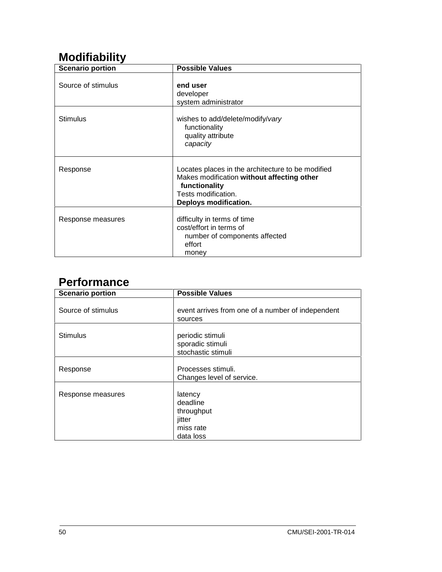# **Modifiability**

| <b>Scenario portion</b> | <b>Possible Values</b>                                                                                                                                           |
|-------------------------|------------------------------------------------------------------------------------------------------------------------------------------------------------------|
| Source of stimulus      | end user<br>developer<br>system administrator                                                                                                                    |
| <b>Stimulus</b>         | wishes to add/delete/modify/vary<br>functionality<br>quality attribute<br>capacity                                                                               |
| Response                | Locates places in the architecture to be modified<br>Makes modification without affecting other<br>functionality<br>Tests modification.<br>Deploys modification. |
| Response measures       | difficulty in terms of time<br>cost/effort in terms of<br>number of components affected<br>effort<br>money                                                       |

# **Performance**

| <b>Scenario portion</b> | <b>Possible Values</b>                            |  |  |  |
|-------------------------|---------------------------------------------------|--|--|--|
|                         |                                                   |  |  |  |
| Source of stimulus      | event arrives from one of a number of independent |  |  |  |
|                         | sources                                           |  |  |  |
|                         |                                                   |  |  |  |
| Stimulus                | periodic stimuli                                  |  |  |  |
|                         | sporadic stimuli                                  |  |  |  |
|                         | stochastic stimuli                                |  |  |  |
|                         |                                                   |  |  |  |
| Response                | Processes stimuli.                                |  |  |  |
|                         | Changes level of service.                         |  |  |  |
|                         |                                                   |  |  |  |
| Response measures       | latency                                           |  |  |  |
|                         | deadline                                          |  |  |  |
|                         | throughput                                        |  |  |  |
|                         | jitter                                            |  |  |  |
|                         | miss rate                                         |  |  |  |
|                         | data loss                                         |  |  |  |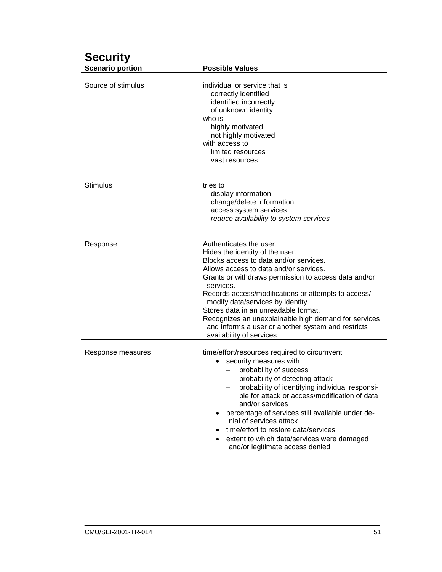# **Security**

| <b>Scenario portion</b> | <b>Possible Values</b>                                                                                                                                                                                                                                                                                                                                                                                                                                                                             |  |  |
|-------------------------|----------------------------------------------------------------------------------------------------------------------------------------------------------------------------------------------------------------------------------------------------------------------------------------------------------------------------------------------------------------------------------------------------------------------------------------------------------------------------------------------------|--|--|
| Source of stimulus      | individual or service that is<br>correctly identified<br>identified incorrectly<br>of unknown identity<br>who is<br>highly motivated<br>not highly motivated<br>with access to<br>limited resources<br>vast resources                                                                                                                                                                                                                                                                              |  |  |
| <b>Stimulus</b>         | tries to<br>display information<br>change/delete information<br>access system services<br>reduce availability to system services                                                                                                                                                                                                                                                                                                                                                                   |  |  |
| Response                | Authenticates the user.<br>Hides the identity of the user.<br>Blocks access to data and/or services.<br>Allows access to data and/or services.<br>Grants or withdraws permission to access data and/or<br>services.<br>Records access/modifications or attempts to access/<br>modify data/services by identity.<br>Stores data in an unreadable format.<br>Recognizes an unexplainable high demand for services<br>and informs a user or another system and restricts<br>availability of services. |  |  |
| Response measures       | time/effort/resources required to circumvent<br>security measures with<br>probability of success<br>probability of detecting attack<br>probability of identifying individual responsi-<br>ble for attack or access/modification of data<br>and/or services<br>percentage of services still available under de-<br>nial of services attack<br>time/effort to restore data/services<br>extent to which data/services were damaged<br>and/or legitimate access denied                                 |  |  |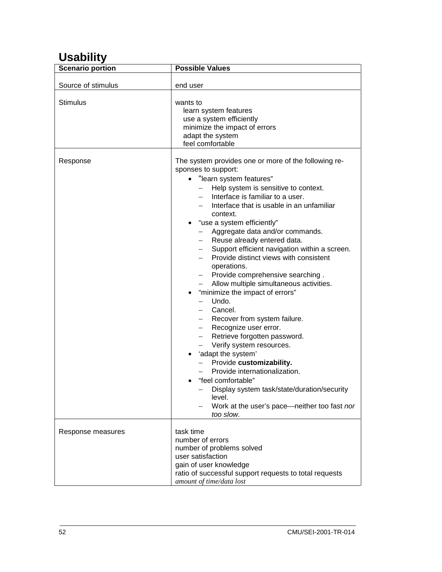# **Usability**

| <b>Scenario portion</b>     | <b>Possible Values</b>                                                                                                                                                                                                                                                                                                                                                                                                                                                                                                                                                                                                                                                                                                                                                                                                                                                                                                         |  |  |
|-----------------------------|--------------------------------------------------------------------------------------------------------------------------------------------------------------------------------------------------------------------------------------------------------------------------------------------------------------------------------------------------------------------------------------------------------------------------------------------------------------------------------------------------------------------------------------------------------------------------------------------------------------------------------------------------------------------------------------------------------------------------------------------------------------------------------------------------------------------------------------------------------------------------------------------------------------------------------|--|--|
| Source of stimulus          | end user                                                                                                                                                                                                                                                                                                                                                                                                                                                                                                                                                                                                                                                                                                                                                                                                                                                                                                                       |  |  |
| <b>Stimulus</b><br>Response | wants to<br>learn system features<br>use a system efficiently<br>minimize the impact of errors<br>adapt the system<br>feel comfortable<br>The system provides one or more of the following re-                                                                                                                                                                                                                                                                                                                                                                                                                                                                                                                                                                                                                                                                                                                                 |  |  |
|                             | sponses to support:<br>"learn system features"<br>Help system is sensitive to context.<br>Interface is familiar to a user.<br>Interface that is usable in an unfamiliar<br>context.<br>"use a system efficiently"<br>Aggregate data and/or commands.<br>- Reuse already entered data.<br>Support efficient navigation within a screen.<br>Provide distinct views with consistent<br>operations.<br>- Provide comprehensive searching.<br>Allow multiple simultaneous activities.<br>"minimize the impact of errors"<br>Undo.<br>Cancel.<br>Recover from system failure.<br>Recognize user error.<br>Retrieve forgotten password.<br>$\overline{\phantom{0}}$<br>Verify system resources.<br>$-$<br>'adapt the system'<br>Provide customizability.<br>Provide internationalization.<br>"feel comfortable"<br>Display system task/state/duration/security<br>level.<br>Work at the user's pace—neither too fast nor<br>too slow. |  |  |
| Response measures           | task time<br>number of errors<br>number of problems solved<br>user satisfaction<br>gain of user knowledge<br>ratio of successful support requests to total requests<br>amount of time/data lost                                                                                                                                                                                                                                                                                                                                                                                                                                                                                                                                                                                                                                                                                                                                |  |  |